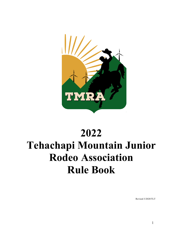

# **2022 Tehachapi Mountain Junior Rodeo Association Rule Book**

Revised 3/2020/TLT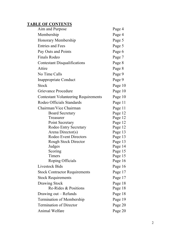# **TABLE OF CONTENTS**

| Aim and Purpose                             | Page 4  |
|---------------------------------------------|---------|
| Membership                                  | Page 4  |
| Honorary Membership                         | Page 5  |
| <b>Entries and Fees</b>                     | Page 5  |
| Pay Outs and Points                         | Page 6  |
| <b>Finals Rodeo</b>                         | Page 7  |
| Contestant Disqualifications                | Page 8  |
| Attire                                      | Page 8  |
| No Time Calls                               | Page 9  |
| Inappropriate Conduct                       | Page 9  |
| <b>Stock</b>                                | Page 10 |
| <b>Grievance Procedure</b>                  | Page 10 |
| <b>Contestant Volunteering Requirements</b> | Page 10 |
| Rodeo Officials Standards                   | Page 11 |
| Chairman/Vice Chairman                      | Page 11 |
| <b>Board Secretary</b>                      | Page 12 |
| Treasurer                                   | Page 12 |
| Point Secretary                             | Page 12 |
| Rodeo Entry Secretary                       | Page 12 |
| Arena Director(s)                           | Page 13 |
| <b>Rodeo Event Directors</b>                | Page 13 |
| <b>Rough Stock Director</b>                 | Page 13 |
| Judges                                      | Page 14 |
| Scoring                                     | Page 15 |
| Timers                                      | Page 15 |
| Roping Officials                            | Page 16 |
| <b>Livestock Bids</b>                       | Page 16 |
| <b>Stock Contractor Requirements</b>        | Page 17 |
| <b>Stock Requirements</b>                   | Page 17 |
| Drawing Stock                               | Page 18 |
| Re-Rides & Positions                        | Page 18 |
| Drawing out - Refunds                       | Page 18 |
| <b>Termination of Membership</b>            | Page 19 |
| <b>Termination of Director</b>              | Page 20 |
| Animal Welfare                              | Page 20 |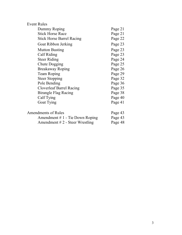| <b>Event Rules</b>                |         |
|-----------------------------------|---------|
| Dummy Roping                      | Page 21 |
| <b>Stick Horse Race</b>           | Page 21 |
| <b>Stick Horse Barrel Racing</b>  | Page 22 |
| Goat Ribbon Jerking               | Page 23 |
| <b>Mutton Busting</b>             | Page 23 |
| Calf Riding                       | Page 23 |
| <b>Steer Riding</b>               | Page 24 |
| Chute Dogging                     | Page 25 |
| <b>Breakaway Roping</b>           | Page 26 |
| Team Roping                       | Page 29 |
| <b>Steer Stopping</b>             | Page 32 |
| Pole Bending                      | Page 36 |
| <b>Cloverleaf Barrel Racing</b>   | Page 35 |
| <b>Birangle Flag Racing</b>       | Page 38 |
| Calf Tying                        | Page 40 |
| <b>Goat Tying</b>                 | Page 41 |
| <b>Amendments of Rules</b>        | Page 43 |
| Amendment $# 1$ - Tie Down Roping | Page 43 |
|                                   |         |
| Amendment $# 2$ - Steer Wrestling | Page 48 |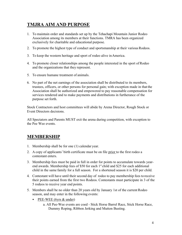# **TMJRA AIM AND PURPOSE**

- 1. To maintain order and standards set up by the Tehachapi Mountain Junior Rodeo Association among its members at their functions. TMRA has been organized exclusively for charitable and educational purpose.
- 2. To promote the highest type of conduct and sportsmanship at their various Rodeos.
- 3. To keep the western heritage and sport of rodeo alive inAmerica.
- 4. To promote closer relationships among the people interested in the sport ofRodeo and the organizations that they represent.
- 5. To ensure humane treatment of animals.
- 6. No part of the net earnings of the association shall be distributed to its members, trustees, officers, or other persons for personal gain; with exception made in that the Association shall be authorized and empowered to pay reasonable compensation for services rendered and to make payments and distributions in furtherance of the purpose set forth.

Stock Contractors and host committees will abide by Arena Director, Rough Stock or Event Directors decisions.

All Spectators and Parents MUST exit the arena during competition, with exception to the Pee Wee events.

# **MEMBERSHIP**

- 1. Membership shall be for one (1) calendar year.
- 2. A copy of applicants' birth certificate must be on file prior to the first rodeo a contestant enters.
- 3. Membership fees must be paid in full in order for points to accumulate towards yearend awards. Membership fees of \$50 for each  $1<sup>st</sup>$  child and \$25 for each additional child in the same family for a full season. For a shortened season it is \$20 per child.
- 4. Contestant will have until their second day of rodeo to pay membership fees to receive their points earned from the first two Rodeos. Contestants must participate in 3 of the 5 rodeos to receive year end points.
- 5. Members shall be no older than 20 years old by January 1st of the current Rodeo season, and may enter in the following events:
	- PEE-WEE (6yrs & under)
		- a. All Pee-Wee events are coed Stick Horse Barrel Race, Stick Horse Race, Dummy Roping, Ribbon Jerking and Mutton Busting.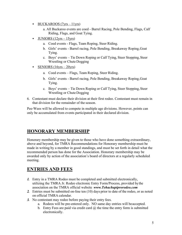- BUCKAROOS  $(7\text{yrs} 11\text{yrs})$ 
	- a. All Buckaroo events are coed Barrel Racing, Pole Bending, Flags, Calf Riding, Flags, and Goat Tying.
- JUNIORS  $(12\text{yrs} 15\text{yrs})$ 
	- a. Coed events Flags, Team Roping, Steer Riding.
	- b. Girls' events Barrel racing, Pole Bending, Breakaway Roping,Goat Tying.
	- c. Boys' events Tie Down Roping or Calf Tying, Steer Stopping, Steer Wrestling or Chute Dogging
- SENIORS (16yrs 20yrs)
	- a. Coed events Flags, Team Roping, Steer Riding.
	- b. Girls' events Barrel racing, Pole Bending, Breakaway Roping,Goat Tying.
	- c. Boys' events Tie Down Roping or Calf Tying, Steer Stopping, Steer Wrestling or Chute Dogging
- 6. Contestant must declare their division at their first rodeo. Contestant must remain in that division for the remainder of the season.

Pee-Wees will be allowed to compete in multiple age divisions. However, points can only be accumulated from events participated in their declared division.

# **HONORARY MEMBERSHIP**

Honorary membership may be given to those who have done something extraordinary, above and beyond, for TMRA Recommendations for Honorary membership must be made in writing by a member in good standings, and must be set forth in detail what the recommended person has done for the Association. Honorary membership may be awarded only by action of the association's board of directors at a regularly scheduled meeting.

# **ENTRIES AND FEES**

- *1.* Entry in a TMRA Rodeo must be completed and submitted electronically, utilizing the TMRA Jr. Rodeo electronic Entry Form/Process, provided bythe association on the TMRA official website *www.Tehachapiprorodeo.com*
- *2.* Entries must be submitted on-line ten (10) days prior to date of the rodeo, or as noted on official TMRA calendar.
- *3.* No contestant may rodeo before paying their entry fees.
	- a. Rodeos will be pre-entered only. NO same day entries will beaccepted.
	- b. Entry Fees are paid via credit card  $\omega$  the time the entry form is submitted electronically.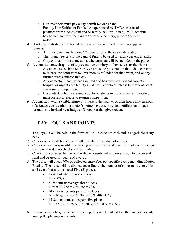- c. Non-members must pay a day permit fee of \$15.00.
- d. For any Non Sufficient Funds fee experienced by TMRA as a results payment from a contestant and/or family, will result in a \$25.00 fee will be charged and must be paid to the rodeo secretary, prior to the next rodeo.
- *4.* No-Show contestants will forfeit their entry fees, unless the secretary approves reasons.
	- a. All draw outs must be done 72 hours prior to the day of the rodeo.
	- b. That money reverts to the general fund to be used towards year-end awards.
	- c. Only entries for the contestants who compete will be included in the purse.
- *5.* A contestant may drop out of any event due to injury to themselves or theirhorse
	- a. A written excuse by a MD or DVM must be presented to the rodeosecretary to release the contestant to have monies refunded for that event, and/or any further events entered that day.
	- b. Any contestant that has been injured and has received medical care at a hospital or urgent care facility must have a doctor's release before contestant can resume competition.
	- c. If a contestant has presented a doctor's release to draw out of a rodeo, they must present a release to resume competition.
- *6.* A contestant with a visible injury or illness to themselves or their horse may turnout of a Rodeo event without a doctor's written excuse, provided notification of such turnout is authorized by a Judge or Director at that given rodeo.

# **PAY – OUTS AND POINTS**

- 1. The payouts will be paid in the form of TMRA check or cash and is negotiable atany bank.
- 2. Checks issued will become void after 90 days from date of writing
- 3. Contestants are responsible for picking up their checks at conclusion of each rodeo, or by the next rodeo no checks will be mailed.
- 4. Checks not collected by the final rodeo or negotiated will revert back to the general fund and be used for year-end awards.
- 5. The purse will equal 40% of collected entry Fees per specific event, including Mutton Busting. The purse will be divided according to the number of contestants entered in said event, but not to exceed Five (5) places.
	- 1 4 contestants pays one place  $1st = 100\%$
	- 5 9 contestants pays three places 1st=  $50\%$ , 2nd =  $30\%$ , 3rd =  $20\%$
	- 10 14 contestants pays four places 1st= 40%, 2nd = 30%, 3rd = 20%, 4th =  $10\%$
	- 15 & over contestants pays five places 1st=40%, 2nd=25%, 3rd=20%, 4th=10%, 5th=5%
- 6. If there are any ties, the purse for those places will be added together and split evenly among the placing contestants.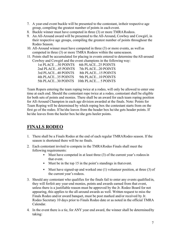- 7. A year-end event buckle will be presented to the contestant, intheir respective age group, compiling the greatest number of points in each event.
- 8. Buckle winner must have competed in three (3) or more TMRARodeos.
- 9. An All-Around award will be presented to the All-Around, Cowboy and Cowgirl, in their respective age groups, compiling the greatest number of points throughout the Rodeo Season.
- 10. All-Around winner must have competed in three (3) or more events, as well as competed in three (3) or more TMRA Rodeos within the sameseason.
- 11. Points shall be accumulated for placing in events entered to determine theAll-around Cowboy and Cowgirl and the event champions in the following way:

| 1st PLACE 50 POINTS | 6th PLACE25 POINTS  |
|---------------------|---------------------|
| 2nd PLACE45 POINTS  | 7th PLACE20 POINTS  |
| 3rd PLACE40 POINTS  | 8th PLACE15 POINTS  |
| 4th PLACE35 POINTS  | 9th PLACE10 POINTS  |
| 5th PLACE30 POINTS  | 10th PLACE 5 POINTS |
|                     |                     |

Team Ropers entering the team roping twice at a rodeo, will only be allowed to enter one time at each end. Should the contestant rope twice at a rodeo, contestant shall be eligible for both sets of points and monies. There shall be an award for each team roping position for All-Around Champion in each age division awarded at the finals. Note: Points for Team Roping will be determined by which roping box the contestant starts from on the first go of the rodeo. If he/she leaves from the header box he/she gets header points. If he/she leaves from the heeler box he/she gets heeler points.

# **FINALS RODEO**

- 1. There shall be a Finals Rodeo at the end of each regular TMRARodeo season. If the season is shortened there will be no finals.
- 2. Each contestant invited to compete in the TMRARodeo Finals shall meet the following requirements:
	- Must have competed in at least three (3) of the current year's rodeos in that event.
	- Must be in the top 15 in the point's standings in that event.
	- Must have signed-up and worked one (1) volunteer position, at three (3) of the current year's rodeos.
- 3. Should any contestant who qualifies for the finals fail to enter any events qualified in, they will forfeit any year-end monies, points and awards earned from that event, unless there is a justifiable reason must be approved by the Jr. Rodeo Board for not appearing, this applies to the all-around awards as well. Written request to miss the Finals Rodeo and/or award banquet, must be post marked and/or received by Jr. Rodeo Secretary 10 days prior to Finals Rodeo date or as noted in the official TMRA Calendar.
- 4. In the event there is a tie, for ANY year end award, the winner shall be determined by taking: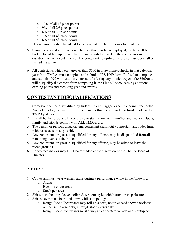- a.  $10\%$  of all 1<sup>st</sup> place points
- b. 9% of all  $2<sup>nd</sup>$  place points
- c. 8% of all  $3<sup>rd</sup>$  place points
- d.  $7\%$  of all  $4<sup>th</sup>$  place points
- e.  $6\%$  of all  $5<sup>th</sup>$  place points

These amounts shall be added to the original number of points to break the tie.

- 5. Should a tie exist after the percentage method has been employed, the tie shall be broken by adding up the number of contestants bettered by the contestants in question, in each event entered. The contestant compiling the greater number shall be named the winner.
- 6. All contestants which earn greater than \$600 in prize money/checks in that calendar year from TMRA, must complete and submit a IRS 1099 form. Refusal to complete and submit 1099 will result in contestant forfeiting any monies beyond the \$600 and will disqualify the contest from competing in the Finals Rodeo, earning additional earning points and receiving year end awards.

# **CONTESTANT DISQUALIFICATIONS**

- 1. Contestant can be disqualified by Judges, Event Flagger, executive committee, orthe Arena Director, for any offenses listed under this section, or the refusal to adhere to TMRA policies.
- 2. It shall be the responsibility of the contestant to maintain him/her and his/her helpers, family and friends comply with ALL TMRArules.
- 3. The person or persons disqualifying contestant shall notify contestant and rodeo timer with basis as soon as possible.
- 4. Any contestant, or guest, disqualified for any offense, may be disqualified fromall remaining events at the Rodeo.
- 5. Any contestant, or guest, disqualified for any offense, may be asked to leave the rodeo grounds.
- 6. Rodeo fees may or may NOT be refunded at the discretion of the TMRABoard of Directors.

# **ATTIRE**

- 1. Contestant must wear western attire during a performance while in the following:
	- a. Arena
	- b. Bucking chute areas
	- c. Stock pen areas
- 2. Shirts must be long sleeve, collared, western style, with button or snap closures.
- 3. Shirt sleeves must be rolled down while competing:
	- a. Rough Stock Contestants may roll up sleeve, not to exceed above the elbow on the riding arm only, in rough stock eventsonly.
	- b. Rough Stock Contestants must always wear protective vest andmouthpiece.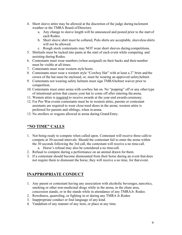- 4. Short sleeve attire may be allowed at the discretion of the judge during inclement weather or the TMRA Board ofDirectors.
	- a. Any change to sleeve length will be announced and posted prior to the start of each Rodeo.
	- b. Short sleeve shirt must be collared, Polo shirts are acceptable, sleevelessshirts will not be allowed.
	- c. Rough stock contestants may NOT wear short sleeves during competitions.
- 5. Shirttails must be tucked into pants at the start of each event while competing and assisting during Rodeo.
- 6. Contestants must wear numbers (when assigned) on their backs and their number must be visible at all times.
- 7. Contestants must wear western style boots.
- 8. Contestants must wear a western style "Cowboy Hat" with at least a 2" brim and the crown of the hat must be enclosed, or, must be wearing an approved safetyhelmet.
- 9. Contestants not wearing safety helmets must sign TMRAhelmet waiver prior to competition.
- 10. Contestants must enter arena with cowboy hat on. No "popping" off or any othertype of intentional action that causes your hat to come off after entering the arena.
- 11. Western attire is required to receive awards at the year-end awards ceremony.
- 12. For Pee Wee events contestants must be in western attire, parents or contestant assistants are required to wear close-toed shoes in the arena; western attire is preferred for parents and siblings, when in arena.
- 13. No strollers or wagons allowed in arena during Grand Entry.

# **"NO TIME" CALLS**

- 1. Not being ready to compete when called upon. Contestant will receive three callsto compete at 30-second intervals. Should the contestant fail to enter the arena within the 30 seconds following the 3rd call, the contestant will receive a no time call.
	- a. Horse's refusal may also be considered a no time call.
- 2. Refusal to compete during a performance on an animal drawn for them.
- 3. If a contestant should become dismounted from their horse during an event that does not require them to dismount the horse, they will receive a no time, for that event.

# **INAPPROPRIATE CONDUCT**

- 1. Any parent or contestant having any association with alcoholic beverages, narcotics, smoking or other non-medicinal drugs while in the arena, in the chute area, concession stands, or in the stands while in attendance of any TMRAJr. Rodeo.
- 2. Rowdiness, quarreling, or fighting in or during any TMRA Jr.Rodeo
- 3. Inappropriate conduct or foul language of any kind.
- 4. Vandalism of any manner of any item, or place at any time.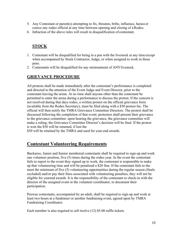- 5. Any Contestant or parent(s) attempting to fix, threaten, bribe, influence, harass or coerce any rodeo official at any time between opening and closing of aRodeo.
- 6. Infraction of the above rules will result in disqualification of contestant.

# **STOCK**

- 1. Contestant will be disqualified for being in a pen with the livestock at any time except when accompanied by Stock Contractor, Judge, or when assigned to work in those pens.
- 2. Contestants will be disqualified for any mistreatment of ANYlivestock.

# **GRIEVANCE PROCEDURE**

All protests shall be made immediately after the contestant's performance is completed and directed to the attention of the Event Judge and Event Director, prior to the contestant leaving the arena. At no time shall anyone other than the contestant be permitted to enter the arena during a performance to discuss the protest. If the concern is not resolved during that days rodeo, a written protest on the official grievance form (available from the Rodeo Secretary), must be filed along with a \$50 protest fee. The official will then notify the TMRA Grievance Committee Directors. The protest shall be discussed following the completion of that event; protesters shall present their grievance to the grievance committee: upon hearing the grievance, the grievance committee will make a ruling; the Grievance Committee Director's decision will be final. If the protest is won the \$50 will be returned, if lost the

\$50 will be retained by the TMRA and used for year-end awards.

# **Contestant Volunteering Requirements**

Buckaroo, Junior and Senior membered contestants shall be required to sign-up and work one volunteer position, five (5) times during the rodeo year. In the event the contestant fails to report to the event they signed up to work, the contestant is responsible to make up that volunteering time and will be penalized a \$20 fine. If the contestant fails to the meet the minimum of five (5) volunteering opportunities during the regular season (finals excluded) and/or pay their fines associated with volunteering penalties, they will not be eligible for yearend awards. It is the responsibility of the contestant to check-in with the director of the assigned event or the volunteer coordinator, to document their participation.

Peewee contestants, accompanied by an adult, shall be required to sign-up and work at least two hours at a fundraiser or another fundraising event, agreed upon by TMRA Fundraising Coordinator.

Each member is also required to sell twelve (12) \$5.00 raffle tickets.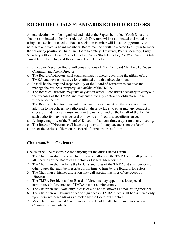# **RODEO OFFICIALS STANDARDS RODEO DIRECTORS**

Annual elections will be organized and held at the September rodeo. Youth Directors shall be nominated at the first rodeo. Adult Directors will be nominated and voted in using a closed ballot election. Each association member will have the opportunity to nominate and vote in board members. Board members will be elected to a 1-year termfor the following positions: Chairman, Board Secretary, Treasurer, Points Secretary, Entry Secretary, Official Timer, Arena Director, Rough Stock Director, Pee Wee Director, Girls Timed Event Director, and Boys Timed Event Director.

- o Jr. Rodeo Executive Board will consist of one (1) TMRA Board Member, Jr. Rodeo Chairman and ArenaDirector.
- o The Board of Directors shall establish major policies governing the affairs ofthe TMRA and devise measures for continued growth anddevelopment.
- o It shall be the duty and responsibility of the Board of Directors to conduct and manage the business, property, and affairs of theTMRA.
- o The Board of Directors may take any action which it considers necessary to carry out the purposes of the TMRA and may enter into any contract or obligation in the furtherance thereof.
- o The Board of Directors may authorize any officers; agents of the association, in addition to the officers so authorized by these by-laws, to enter into any contract or execute and deliver any instrument in the name of and on the behalf of the TMRA, such authority may be in general or may be confined to a specific instance.
- o A simple majority of the Board of Directors shall constitute a quorum at anymeeting.
- o The Board of Directors shall have the power to fill any vacancies on theBoard.

Duties of the various offices on the Board of directors are asfollows:

#### **Chairman/Vice Chairman**

Chairman will be responsible for carrying out the duties stated herein

- 1. The Chairman shall serve as chief executive officer of the TMRA and shall preside at all meetings of the Board of Directors or General Membership.
- 2. The Chairman shall enforce the by-laws and rules of the TMRAand shall perform all other duties that may be prescribed from time to time by the Board of Directors.
- 3. The Chairman at his/her discretion may call special meetings of the Board of Directors.
- 4. The TMRA President and or Board of Directors may appoint variousspecial committees in furtherance of TMRA business orfunctions.
- 5. The Chairman shall vote only in case of a tie and is known as a non-votingmember.
- 6. The Chairman will be authorized to sign checks. TMRA funds shall bedisbursed only upon itemized demands or as directed by the Board of Directors.
- 7. Vice Chairman to assist Chairman as needed and fulfill Chairman duties, when Chairman is unavailable.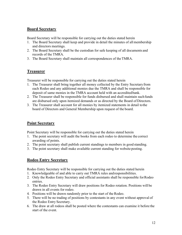### **Board Secretary**

Board Secretary will be responsible for carrying out the duties stated herein

- 1. The Board Secretary shall keep and provide in detail the minutes of allmembership and directors meetings.
- 2. The Board Secretary shall be the custodian for safe keeping of all documents and records of the TMRA.
- 3. The Board Secretary shall maintain all correspondences of theTMRA.

#### **Treasurer**

Treasurer will be responsible for carrying out the duties stated herein

- 1. The Treasurer shall bring together all money collected by the Entry Secretaryfrom each Rodeo and any additional monies due the TMRA and shall be responsible for deposit of same monies in the TMRA account held with an accreditedbank.
- 2. The Treasurer shall be responsible for funds disbursed and shall maintain suchfunds are disbursed only upon itemized demands or as directed by the Board of Directors.
- 3. The Treasurer shall account for all monies by itemized statements in detail tothe board of Directors and General Membership upon request of the board.

# **Point Secretary**

Point Secretary will be responsible for carrying out the duties stated herein

- 1. The point secretary will audit the books from each rodeo to determine the correct awarding of points.
- 2. The point secretary shall publish current standings to members in good standing.
- 3. The point secretary shall make available current standing for website posting.

#### **Rodeo Entry Secretary**

Rodeo Entry Secretary will be responsible for carrying out the duties stated herein

- 1. Knowledgeable of and able to carry out TMRA rules andresponsibilities.
- 2. Only the Rodeo Entry Secretary and official assistants shall be responsible forRodeo entries.
- 3. The Rodeo Entry Secretary will draw positions for Rodeo rotation. Positions will be drawn in all events for rodeo.
- 4. Positions will be drawn randomly prior to the start of the Rodeo.
- 5. There will be no trading of positions by contestants in any event without approval of the Rodeo Entry Secretary.
- 6. The draw at all rodeos shall be posted where the contestants can examine it before the start of the event.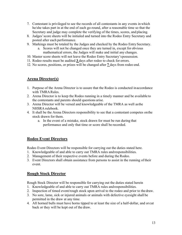- 7. Contestant is privileged to see the records of all contestants in any events in which he/she takes part in at the end of each go-round, after a reasonable time so that the Secretary and judge may complete the verifying of the times, scores, and placing.
- 8. Judges'score sheets will be initialed and turned into the Rodeo Entry Secretary and posted after each performance.
- 9. Markings must be totaled by the Judges and checked by the Rodeo Entry Secretary.
	- a. Scores will not be changed once they are turned in, except for obvious mathematical errors, the Judges will make and initial any changes.
- 10. Master score sheets will not leave the Rodeo Entry Secretary'spossession.
- 11. Rodeo results must be audited **3** days after rodeo to check for errors.
- 12. No scores, positions, or prizes will be changed after **7** days from rodeo end.

### **Arena Director(s)**

- 1. Purpose of the Arena Director is to assure that the Rodeo is conducted inaccordance with TMRA Rules.
- 2. Arena Director is to keep the Rodeo running in a timely manner and be available to the contestants and parents should questions arise.
- 3. Arena Director will be versed and knowledgeable of the TMRA as well asthe NHSRA rulebook.
- 4. It shall be the Arena Directors responsibility to see that a contestant competes onthe stock drawn for them.
	- a. In the event of a mistake, stock drawn for must be run during that performance and only that time or score shall be recorded.

# **Rodeo Event Directors**

Rodeo Event Directors will be responsible for carrying out the duties stated here.

- 1. Knowledgeable of and able to carry out TMRA rules andresponsibilities.
- 2. Management of their respective events before and during the Rodeo.
- 3. Event Directors shall obtain assistance from persons to assist in the running oftheir event.

# **Rough Stock Director**

Rough Stock Director will be responsible for carrying out the duties stated herein

- 1. Knowledgeable of and able to carry out TMRA rules andresponsibilities.
- 2. Inspection of timed event/rough stock upon arrival to the rodeo and prior to the draw.
- 3. No sore, lame, sick or injured animals or animals with defective eyesight shall be permitted in the draw at any time.
- 4. All horned bulls must have horns tipped to at least the size of a half-dollar, and or cut back or they will be kept out of the draw.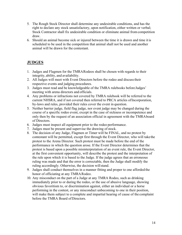- 5. The Rough Stock Director shall determine any undesirable conditions, and has the right to declare any stock unsatisfactory, upon notification, either written or verbal; Stock Contractor shall fix undesirable condition or eliminate animal fromcompetition draw.
- 6. Should an animal become sick or injured between the time it is drawn and time it is scheduled to be used in the competition that animal shall not be used and another animal will be drawn for the contestant.

# **JUDGES**

- 1. Judges and Flagmen for the TMRARodeos shall be chosen with regards to their integrity, ability, and availability.
- 2. All Judges will meet with Event Directors before the rodeo and discusstheir respective events and judging procedures.
- 3. Judges must read and be knowledgeable of the TMRA rulebooks beforeJudges' meeting with arena directors and officials.
- 4. Any problems or infractions not covered by TMRA rulebook will be referred to the current NHSRA, and if not covered then referred to PRCA articles ofIncorporation, by-laws and rules, provided their rules cover the event in question.
- 5. Neither barrier judge, field flag judge, nor event judge may be changed during the course of a specific rodeo event, except in the case of sickness or incompetence and only then by the request of an association official in agreement with the TMRAboard of Directors.
- 6. Judges must inspect all equipment prior to the rodeo performance.
- 7. Judges must be present and supervise the drawing of stock.
- 8. The decision of any Judge, Flagmen or Timer will be FINAL, and no protest by contestant will be permitted, except first through the Event Director, who will take the protest to the Arena Director. Such protest must be made before the end of the performance in which the question arose. If the Event Director determines that the protest is based upon a possible misinterpretation of an event rule, the Event Director, at the first convenient opportunity, will describe the protest and the interpretation of the rule upon which it is based to the Judge. If the judge agrees that an erroneous ruling was made and that the error is correctable, then the Judge shall modify the ruling accordingly. Otherwise, the decision willstand.
- 9. Judges shall conduct themselves in a manner fitting and proper to one afforded the honor of officiating at any TMRA Rodeo.
- 10. Any misconduct on the part of a Judge at any TMRA Rodeo, such as drinking immediately prior to or during the rodeo, or the use of abusive language, showing obvious favoritism to, or discrimination against, either an individual or a horse performing in the contest, or any misconduct unbecoming to one in their position, will make them subject to a complete and impartial hearing of cause of the complaint before the TMRA Board ofDirectors.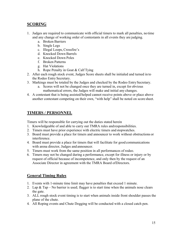# **SCORING**

- 1. Judges are required to communicate with official timers to mark all penalties, no time and any change of working order of contestants in all events they are judging.
	- a. Broken Barriers
	- b. Single Legs
	- c. Illegal Loops, Crossfire's
	- d. Knocked Down Barrels
	- e. Knocked Down Poles
	- f. Broken Patterns
	- g. Hat Violations
	- h. Rope Penalty in Goat & Calf Tying
- 2. After each rough stock event, Judges Score sheets shall be initialed and turned in to the Rodeo Entry Secretary.
- 3. Markings must be totaled by the Judges and checked by the Rodeo Entry Secretary.
	- a. Scores will not be changed once they are turned in, except for obvious mathematical errors, the Judges will make and initial any changes.
- 4. A contestant that is being assisted/helped cannot receive points above or place above another contestant competing on their own, "with help" shall be noted on score sheet.

# **TIMERS / PERSONNEL**

Timers will be responsible for carrying out the duties stated herein

- 1. Knowledgeable of and able to carry out TMRA rules andresponsibilities.
- 2. Timers must have prior experience with electric timers and stopwatches.
- 3. Board must provide a place for timers and announcer to work without obstructions or interference.
- 4. Board must provide a place for timers that will facilitate for good communications with arena director, Judges and announcer.
- 5. Timers must work from the same position in all performances of rodeo.
- 6. Timers may not be changed during a performance, except for illness or injury or by request of official because of incompetence, and only then by the request of an Associate Director in agreement with the TMRA Board ofDirectors.

# **General Timing Rules**

- 1. Events with 1-minute time limit may have penalties that exceed 1 minute.
- 2. Lap & Tap No barrier is used; flagger is to start time when the animals nose clears the gate.
- 3. ALL rough stock event timing is to start when animals inside front shoulder passes the plane of the chute.
- 4. All Roping events and Chute Dogging will be conducted with a closed catch pen.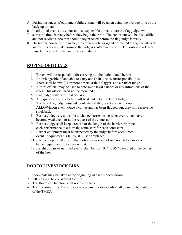- 5. During instances of equipment failure, time will be taken using the average time of the back-up timers.
- 6. In all timed events the contestant is responsible to make sure the flag judge, who
- 7. starts the time, is ready before they begin their run. The contestant will be disqualified and not receive a new run should they proceed before the flag judge is ready.
- 8. During the course of the rodeo, the arena will be dragged or leveled at regular intervals and/or if necessary, determined the judge/event/arena director. Turnouts and releases must be included in the count between drags.

# **ROPING OFFICIALS**

- 1. Timers will be responsible for carrying out the duties stated herein
- 2. Knowledgeable of and able to carry out TMRA rules andresponsibilities
- 3. There shall be two (2) or more timers, a field flagger, and a barrierJudge.
- 4. A third official may be used to determine legal catches or any infractions of the rules. This official need not be mounted.
- 5. Flag judge will have final decision.
- 6. Any questions as to catches will be decided by the EventJudges.
- 7. The field flag judge must ask contestant if they want a second loop, IF ALLOWEDin event. Once a contestant has been flagged out, they will receive no stock back
- 8. Barrier Judge is responsible to change barrier string whenever it may have become weakened, or at the request of the contestant.
- 9. Barrier Judge shall keep a record of the length of the barrier trip rope each performance to assure the same start for each contestant.
- 10. Barrier equipment must be inspected by the judge before each timed event.If equipment is faulty, it must be replaced.
- 11. Barrier Judge shall ensure that nobody can stand close enough to barrier or barrier equipment to tamper with it.
- 12. Height of barrier in timed events shall be from 32''to 36''measured at the center of the box.

# **RODEO LIVESTOCK BIDS**

- 1. Stock bids may be taken at the beginning of each Rodeo season.
- 2. All bids will be considered for hire.
- 3. The Board of Directors shall review all bids.
- 4. The decision of the Directors to accept any livestock bids shall be in the bestinterest of the TMRA.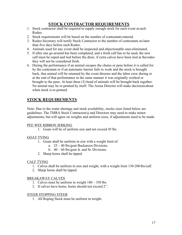# **STOCK CONTRACTOR REQUIREMENTS**

- 1. Stock contractor shall be required to supply enough stock for each event at each Rodeo.
- 2. Stock requirements will be based on the number of contestants entered.
- 3. Rodeo Secretary will notify Stock Contractor to the number of contestants no later than five days before each Rodeo.
- 4. Animals used for any event shall be inspected and objectionable ones eliminated.
- 5. If after one go-around has been completed, and a fresh calf has to be used, the new calf must be roped and tied before the draw, if extra calves have been tied at therodeo they will not be considered fresh.
- 6. During the performance if an animal escapes the chutes or pens before it is called for by the contestant or if an automatic barrier fails to work and the stock is brought back, that animal will be returned by the event director and the labor crew during or at the end of that performance in the same manner it was originally worked or brought to the pens. At least three (3) head of animals will be brought back together. No animal may be re-penned by itself. The Arena Director will make decisionsabout when stock is re-penned.

# **STOCK REQUIREMENTS**

Note: Due to the water shortage and stock availability, stocks sizes listed below are guidelines. The TMRA Stock Contractor(s) and Directors may need to make minor adjustments, but will agree on weights and uniform sizes, if adjustments need to be made.

#### PEE WEE RIBBON JERKING

1. Goats will be of uniform size and not exceed 45 lbs.

#### GOAT TYING

- 1. Goats shall be uniform in size with a weight limit of:
	- a. 25 40 lbs/goat Buckaroos Divisions.
		- b.  $40 60$  lbs/goat Jr. and Sr. Divisions.
- 2. Sharp horns shall be tipped.

#### CALF TYING

- 1. Calves shall be uniform in size and weight, with a weight limit 130-200 lbs/calf.
- 2. Sharp horns shall be tipped.

#### BREAKAWAY CALVES

- 1. Calves must be uniform in weight 180 350 lbs.
- 2. If calves have horns, horns should not exceed 2''.

#### STEER STOPPING STEER

1. All Roping Stock must be uniform in weight.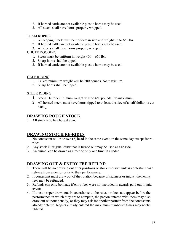- 2. If horned cattle are not available plastic horns may be used
- 3. All steers shall have horns properly wrapped.

#### TEAM ROPING

- 1. All Roping Stock must be uniform in size and weight up to 650 lbs.
- 2. If horned cattle are not available plastic horns may be used.
- 3. All steers shall have horns properly wrapped.

#### CHUTE DOGGING

- 1. Steers must be uniform in weight  $400 650$  lbs.
- 2. Sharp horns shall be tipped.
- 3. If horned cattle are not available plastic horns may be used.

#### CALF RIDING

- 1. Calves minimum weight will be 200 pounds. No maximum.
- 2. Sharp horns shall be tipped.

#### STEER RIDING

- 1. Steers/Heifers minimum weight will be 450 pounds. No maximum.
- 2. All horned steers must have horns tipped to at least the size of a half-dollar, or cut back.

#### **DRAWING ROUGH STOCK**

1. All stock is to be chute drawn.

#### **DRAWING STOCK RE-RIDES**

- 1. No contestant will ride two (2) head in the same event, in the same day except forrerides.
- 2. Any stock in original draw that is turned out may be used as a re-ride.
- 3. An animal can be drawn as a re-ride only one time in a rodeo.

#### **DRAWING OUT & ENTRY FEE REFUND**

- 1. There will be no drawing out after positions or stock is drawn unless contestant has a release from a doctor prior to their performance.
- 2. If contestant must draw out of the rotation because of sickness or injury, theirentry fees may be refunded.
- 3. Refunds can only be made if entry fees were not included in awards paid out in said events.
- 4. If a team roper draws out in accordance to the rules, or does not appear before the performance in which they are to compete, the person entered with them may also draw out without penalty, or they may ask for another partner from the contestants already entered. Ropers already entered the maximum number of times may not be utilized.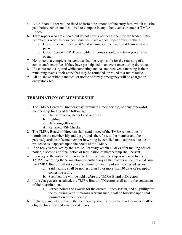- 5. A No-Show Roper will be fined or forfeit the amount of the entry fees, which mustbe paid before contestant is allowed to compete in any other events or another TMRA Rodeo.
- 6. Team ropers who are entered but do not have a partner at the time the Rodeo Entry Secretary is ready to draw positions, will have a ghost roper drawn forthem.
	- a. Ghost roper will receive 40% of winnings in the event said team wins any purse.
	- b. Ghost roper will NOT be eligible for points should said team place in the event.
- 7. No rodeo that completes its contract shall be responsible for the returning of a contestant's entry fees if they have participated in an event once during therodeo.
- 8. If a contestant is injured while competing and has not received a marking in their remaining events, their entry fees may be refunded, or rolled to a future rodeo.
- 9. All no-shows without medical or notice of family emergency will be charged an entry/stock fee.

# **TERMINATION OF MEMBERSHIP**

- 1. The TMRA Board of Directors may terminate a membership, or deny renewalof membership for any of the following:
	- a. Use of tobacco, alcohol and or drugs
	- b. Fighting
	- c. Harassing Officials
	- d. Returned/NSF Checks.
- 2. The TMRA Board of Directors shall send notice of the TMRA's intentions to terminate the membership and the grounds therefore, to the member and the parents/guardians of same member in writing by certified mail, addressed to the residence as it appears upon the books of the TMRA.
- 3. If no reply is received by the TMRA Secretary within 10 days after mailing ofsuch notice, a second and final notice of termination of membership shall be sent
- 4. If a reply to the notice of intention to terminate membership is received by the TMRA, contesting the termination, or putting any of the matters in the notice at issue, the TMRA Board shall seta place and time for hearing of such contested issues.
	- a. Said hearing shall be not less than 10 or more than 30 days of receipt of contesting reply.
	- b. Such hearing will be held before the TMRA Board ofDirectors.
- 5. If the charges are sustained, the TMRA Board of Directors shall notify the contestant of their termination.
	- a. Earned points and awards for the current Rodeo season, and eligibility for the following year, if reasons warrant such, shall be forfeited upon said termination of membership.
- 6. If charges are not sustained, the membership shall be reinstated and member shall be eligible for all earned awards and prizes.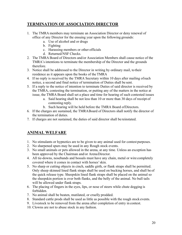# **TERMINATION OF ASSOCIATION DIRECTOR**

- 1. The TMRA members may terminate an Association Director or deny renewal of office of any Director for the ensuing year upon the following grounds:
	- a. Use of alcohol and or drugs
	- b. Fighting
	- c. Harassing members or other officials
	- d. Returned/NSF Checks.
- 2. The TMRA Board of Directors and/or Association Members shall cause notice of the TMRA's intentions to terminate the membership of the Director and the grounds therefore.
- 3. Notice shall be addressed to the Director in writing by ordinary mail, to their residence as it appears upon the books of the TMRA
- 4. If no reply is received by the TMRA Secretary within 10 days after mailing ofsuch notice, a second and final notice of termination of Duties shall be sent.
- 5. If a reply to the notice of intention to terminate Duties of said director is received by the TMRA, contesting the termination, or putting any of the matters in the notice at issue, the TMRA Board shall set a place and time for hearing of such contested issues
	- a. Said hearing shall be not less than 10 or more than 30 days of receipt of contesting reply.
	- b. Such hearing will be held before the TMRA Board ofDirectors.
- 6. If the charges are sustained, the TMRABoard of Directors shall notify the director of the termination of duties.
- 7. If charges are not sustained, the duties of said director shall be reinstated.

# **ANIMAL WELFARE**

- 1. No stimulants or hypnotics are to be given to any animal used for contest purposes.
- 2. No sharpened spurs may be used in any Rough stock events.
- 3. No small animals or pets allowed in the arena, at any time. Unless an exception has been approved by the Chairman and/or ArenaDirector.
- 4. All tie-downs, nosebands and bossals must have any chain, metal or wire completely covered where it comes in contact with horses'skin.
- 5. No sharp or cutting objects in cinch, saddle girth, or flank straps shall be permitted. Only sheep skinned lined flank straps shall be used on bucking horses, and shall be of the quick release type. Sheepskin lined flank straps shall be placed on the animal so the sheepskin portion is over both flanks, and the belly of the animal. No bull tails will be allowed under flank straps.
- 6. The placing of fingers in the eyes, lips, or nose of steers while chute dogging is forbidden.
- 7. No animal shall be beaten, mutilated, or cruelly prodded.
- 8. Standard cattle prods shall be used as little as possible with the rough stock events.
- 9. Livestock to be removed from the arena after completion of entry in contest.
- 10. Clowns are not to abuse stock in any fashion.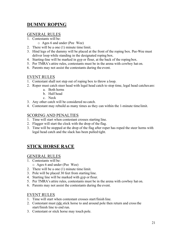# **DUMMY ROPING**

### GENERAL RULES

- 1. Contestants will be:
	- o Ages 6 and under (Pee Wee)
- 2. There will be a one (1) minute time limit.
- 3. Hind legs of the dummy will be placed at the front of the roping box. Pee-Wee must deliver loop while standing in the designated roping box.
- 4. Starting-line will be marked in gyp or flour, at the back of the roping box.
- 5. Per TMRA's attire rules, contestants must be in the arena with cowboy hat on.
- 6. Parents may not assist the contestants during the event.

# EVENT RULES

- 1. Contestant shall not step out of roping box to throw a loop.
- 2. Roper must catch steer head with legal head catch to stop time, legal head catches are:
	- a. Both horns
	- b. Half head
	- c. Neck
- 3. Any other catch will be considered no catch.
- 4. Contestant may rebuild as many times as they can within the 1-minute time limit.

#### SCORING AND PENALTIES

- 1. Time will start when contestant crosses starting line.
- 2. Flagger will start the clock with the drop of the flag.
- 3. Time will be stopped at the drop of the flag after roper has roped the steer horns with legal head catch and the slack has been pulled tight.

# **STICK HORSE RACE**

#### GENERAL RULES

- 1. Contestants will be:
	- o Ages 6 and under (Pee Wee)
- 2. There will be a one (1) minute time limit.
- 3. Pole will be placed 30 feet from starting line.
- 4. Starting line will be marked with gyp or flour.
- 5. Per TMRA's attire rules, contestants must be in the arena with cowboy hat on.
- 6. Parents may not assist the contestants during the event.

# EVENT RULES

- 1. Time will start when contestant crosses start/finish line.
- 2. Contestant must ride stick horse to and around pole then return and crossthe start/finish line to end run.
- 3. Contestant or stick horse may touch pole.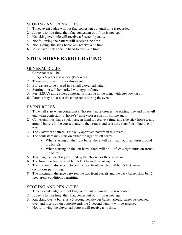### SCORING AND PENALTIES

- 1. Timed event Judge will not flag contestant out until time is recorded.
- 2. Judge is to flag time, then flag contestant out if run is not legal.
- 3. Knocking over pole will receive a 5 second penalty.
- 4. Not following the pattern will receive a no time.
- 5. Not "riding" the stick horse will receive a no time.
- 6. Must have stick horse in hand to receive a time.

# **STICK HORSE BARREL RACING**

#### GENERAL RULES

- 1. Contestants will be:
	- o Ages 6 years and under (Pee-Wees)
- 2. There is no time limit for this event.
- 3. Barrels are to be placed in a small cloverleaf pattern.
- 4. Starting line will be marked with gyp or flour.
- 5. Per TMRA's attire rules, contestants must be in the arena with cowboy hat on.
- 6. Parents may not assist the contestants during the event.

#### EVENT RULES

- 1. Time will start when contestant's "horses'" nose crosses the starting line and timewill end when contestant's "horse's" nose crosses start/finish line again
- 2. Contestant must have stick horse in hand to receive a time, and ride stick horse to and around barrels in the correct pattern, then return and cross the start/finish line to end run.
- 3. The Cloverleaf pattern is the only approved pattern in this event.
- 4. The contestant may start on either the right or left barrel.
	- When starting on the right barrel there will be 1 right  $& 2$  left turns around the barrels.
	- When starting on the left barrel there will be 1 left  $& 2$  right turns on around the barrels.
- 5. Touching the barrel is permitted by the "horse" or the contestant.
- 6. The front two barrels shall be 15 feet from the starting line.
- 7. The maximum distance between the two front barrels shall be 15 feet, arena conditions permitting.
- 8. The maximum distance between the two front barrels and the back barrel shall be 15 feet, arena conditions permitting.

#### SCORING AND PENALTIES

- 1. Timed event Judge will not flag contestant out until time is recorded.
- 2. Judge is to flag time, then flag contestant out if run is not legal.
- 3. Knocking over a barrel is a 5 second penalty per barrel. Should barrel be knocked over and it sets up on opposite end, the 5-second penalty will be assessed.
- 4. Not following the cloverleaf pattern will receive a no time.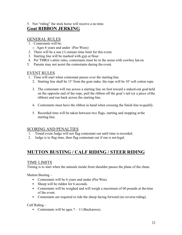5. Not "riding" the stick horse will receive a no time.

# **Goat RIBBON JERKING**

### GENERAL RULES

- 1. Contestants will be:
- o Ages 6 years and under (Pee-Wees)
- 2. There will be a one (1) minute time limit for this event.
- 3. Starting line will be marked with gyp or flour.
- 4. Per TMRA's attire rules, contestants must be in the arena with cowboy hat on.
- 5. Parents may not assist the contestants during the event.

#### EVENT RULES

- 1. Time will start when contestant passes over the starting line.
	- 2. Starting line shall be 15' from the goat stake; the rope will be 10'soft cotton rope.
	- 3. The contestant will run across a starting line on foot toward a staked-out goat held on the opposite end of the rope, pull the ribbon off the goat's tail (or a piece ofthe ribbon) and run back across the starting line.
	- 4. Contestants must have the ribbon in hand when crossing the finish line toqualify.
	- 5. Recorded time will be taken between two flags, starting and stopping at the starting line.

#### SCORING AND PENALTIES

- 1. Timed event Judge will not flag contestant out until time is recorded.
- 2. Judge is to flag time, then flag contestant out if run is not legal.

# **MUTTON BUSTING / CALF RIDING / STEER RIDING**

#### TIME LIMITS

Timing is to start when the animals inside front shoulder passes the plane of the chute.

Mutton Busting –

- Contestants will be 6 years and under (Pee Wee).
- Sheep will be ridden for 6 seconds.
- Contestants will be weighed and will weigh a maximum of 60 pounds at the time of the event.
- Contestants are required to ride the sheep facing forward (no reverse riding).

Calf Riding –

• Contestants will be ages  $7 - 11$  (Buckaroos).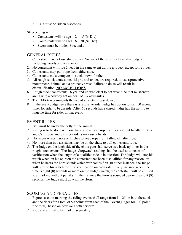• Calf must be ridden 6 seconds.

Steer Riding –

- Contestants will be ages  $12 15$  (Jr. Div)
- Contestants will be ages  $16 20$  (Sr. Div)
- Steers must be ridden 8 seconds.

#### GENERAL RULES

- 1. Contestant may not use sharp spurs. No part of the spur my have sharp edges including rowels and wire locks.
- 2. No contestant will ride 2 head in the same event during a rodeo, except for re-rides.
- 3. Contestants may pull rope from either side.
- 4. Contestants must compete on stock drawn for them.
- 5. All rough-stock contestants, 15 yrs. and under, are required, to use a protective mouthpiece, helmet, and a protective vest. Failure to do so will result in disqualification, **NO EXCEPTIONS**.
- 6. Rough-stock contestants 16 yrs. and up who elect to not wear a helmet must enter arena with a cowboy hat on per TMRA attire rules.
- 7. The TMRA recommends the use of a safety releasedevice.
- 8. In the event Judge feels there is a refusal to ride, judge has option to start 60 second timer for rider to begin ride. After 60 seconds has expired, judge has the ability to issue no time for rider in that event.

#### EVENT RULES

- 1. Bell must be under the belly of the animal.
- 2. Riding is to be done with one hand and a loose rope, with or without handhold. Sheep and Calf riders and girl steer riders may use 2 hands.
- 3. No finger wraps, knots or hitches to keep rope from falling off afterride.
- 4. No more than two assistants may be on the chute to pull contestants rope.
- 5. The Judge on the latch side of the chute gate shall serve as a back-up timer in the rough-stock events. The Judges Stopwatch reading shall be used as a means of verification when the length of a qualified ride is in question. The Judge will stop his watch when, in his opinion the contestant has been disqualified for any reason, or when he hears the horn sound; whichever comes first. In either instance, the Judge will refer to his watch for time verification on each ride. In any instance where the time is eight (8) seconds or more on the Judges watch, the contestant will be entitled to a marking without penalty. In the instance the horn is sounded before the eight (8) seconds, the Judge must go with the Horn.

# SCORING AND PENALTIES

- 1. Figures used in marking the riding events shall range from  $1 25$  on both the stock and the rider (for a total of 50 points from each of the 2 event judges for 100 point ride total), based on how well both perform.
- 2. Ride and animal to be marked separately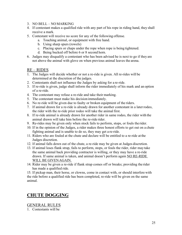- 3. NO BELL NO MARKING
- 4. If contestant makes a qualified ride with any part of his rope in riding hand, they shall receive a mark.
- 5. Contestant will receive no score for any of the following offense.
	- a. Touching animal, or equipment with free hand.
	- b. Using sharp spurs (rowels)
	- c. Placing spurs or chaps under the rope when rope is being tightened.
	- d. Being bucked off before 6 or 8 second horn.
- 6. Judges may disqualify a contestant who has been advised he is next to go if they are not above the animal with glove on when previous animal leaves the arena.

#### RE – RIDES

- 1. The Judges will decide whether or not a re-ride is given. All re-rides will be determined at the discretion of the judges.
- 2. Contestants shall not influence the Judges by asking for a re-ride.
- 3. If re-ride is given, judge shall inform the rider immediately of his mark and an option of a re-ride.
- 4. The contestant may refuse a re-ride and take their marking.
- 5. The contestant must make his decision immediately.
- 6. No re-ride will be given due to faulty or broken equipment of the riders.
- 7. If animal drawn for a re-ride is already drawn for another contestant in a laterrodeo, the rider with the re-ride prior rodeo will take the animal first.
- 8. If re-ride animal is already drawn for another rider in same rodeo, the rider with the animal drawn will take him before the re-ride rider.
- 9. Re-rides may be given only when stock fails to perform, stops, or fouls the rider.
- 10. If in the opinion of the Judges, a rider makes three honest efforts to get out on a chute fighting animal and is unable to do so, they may get a re-ride.
- 11. Riders who are fouled at the chute and declare will be entitled to a re-ride at the Judges discretion.
- 12. If animal falls down out of the chute, a re-ride may be given at Judges discretion.
- 13. If animal loses flank strap, fails to perform, stops, or fouls the rider, rider may take the same animal back providing contractor is willing, or they may have a re-ride drawn. If same animal is taken, and animal doesn't perform again NO RE-RIDE WILL BE GIVENAGAIN.
- 14. Rider may be given a re-ride if flank strap comes off or breaks; providing the rider has made a qualified ride.

15. If pickup man, their horse, or clowns, come in contact with, or should interfere with the ride before a qualified ride has been completed, re-ride will be given on the same animal.

# **CHUTE DOGGING**

GENERAL RULES 1. Contestants will be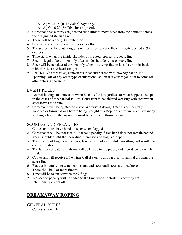- o Ages 12-15 (Jr. Division) boys only.
- o Age's 16-20 (Sr. Division) boys only.
- 2. Contestant has a thirty (30) second time limit to move steer from the chute to across the designated starting line.
- 3. There will be a one (1) minute time limit.
- 4. Score-line shall be marked using gyp or flour.
- 5. The score-line for chute dogging will be 3 feet beyond the chute gate opened at 90 degrees.
- 6. Time starts when the inside-shoulder of the steer crosses the score line.
- 7. Steer is legal to be thrown only after inside shoulder crosses score line.
- 8. Steer will be considered thrown only when it is lying flat on its side or on its back with all 4 feet and head straight.
- 9. Per TMRA's attire rules, contestants must enter arena with cowboy hat on. No "popping" off or any other type of intentional action that causes your hat to come off after entering the arena.

#### EVENT RULES

- 1. Animal belongs to contestant when he calls for it regardless of what happens except in the cases of mechanical failure. Contestant is considered working with steer when steer leaves the chute.
- 2. Contestant must bring steer to a stop and twist it down, if steer is accidentally knocked or thrown down before being brought to a stop, or is thrown by contestant by sticking a horn in the ground, it must be let up and thrown again.

# SCORING AND PENALTIES

- 1. Contestant must have hand on steer when flagged.
- 2. Contestants will be assessed a 10 second penalty if free hand does not remain behind steers shoulder until the score-line is crossed and flag is dropped.
- 3. The placing of fingers in the eyes, lips, or nose of steer while wrestling will result in a disqualification.
- 4. The fairness of catch and throw will be left up to the judge, and their decision will be final.
- 5. Contestant will receive a No Time Call if steer is thrown prior to animal crossing the score-line.
- 6. Flagger is required to watch contestant and steer until steer is turned loose.
- 7. There shall be 2 or more timers.
- 8. Time will be taken between the 2 flags.
- 9. A 5 second penalty will be added to the time when contestant's cowboy hat intentionally comes off.

# **BREAKAWAY ROPING**

#### GENERAL RULES

1. Contestants will be: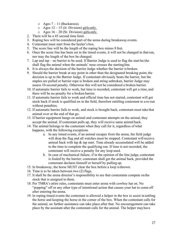- $\circ$  Ages 7 11 (Buckaroos).
- $\circ$  Ages 12 15 (Jr. Division) girls only.
- $\circ$  Ages 16 20 (Sr. Division) girls only.
- 2. There will be a 45 second time limit.
- 3. Roping box will be considered part of the arena during breakaway events.
- 4. Contestant must start from the heeler's box.
- 5. The score line will be the length of the roping box minus 8 feet.
- 6. Once the score line has been set in the timed events, it will not be changed in thatrun, nor may the length of the box be changed.
- 7. Lap and tap no barrier to be used. If Barrier Judge is used to flag the start he/she shall flag the animal when the animals' nose crosses the startingline.
- 8. It is always the decision of the barrier Judge whether the barrier is broken.
- 9. Should the barrier break at any point in other than the designated breaking point, the decision is up to the Barrier Judge. If contestant obviously beats the barrier, but the staples are pulled or barrier rope is broken and string unbroken, barrier Judge may assess 10-second penalty. Otherwise this will not be considered a broken barrier.
- 10. If automatic barrier fails to work, but time is recorded, contestant will get a time, and there will be no penalty for a broken barrier.
- 11. If automatic barrier fails to work and official time has not started, contestant will get stock back if stock is qualified on in the field, therefore entitling contestant to a re-run without penalties.
- 12. If automatic barrier fails to work, and stock is brought back, contestant must take that animal over at the end of that go.
- 13. If barrier equipment hangs on animal and contestant attempts on the animal, they accept the animal. If contestant pulls up, they will receive same animal back.
- 14. The animal belongs to the contestant when they call for it, regardless of what happens, with the following exceptions
	- a. In any timed events, if an animal escapes from the arena, the field judge will drop the flag and all watches must be stopped. Contestant will receive animal back with lap & tap start. Time already accumulated will be added to the time to complete the qualifying run. If time is not recorded, the contestant will receive a penalty for any loop used.
	- b. In case of mechanical failure, if in the opinion of the line judge, contestant is fouled by the barrier; contestant shall get the animal back, provided the contestant declares himself or herself by pulling up.
- 15. In breakaway, the horse MUST clear the box before a loop isthrown.
- 16. Time is to be taken between two (2) flags.
- 17. It shall be the arena director's responsibility to see that contestants compete on the stock that is assigned to them.
- 18. Per TMRA's attire rules, contestants must enter arena with cowboy hat on. No "popping" off or any other type of intentional action that causes your hat to come off after entering the arena.
- 19. In roping timed events the contestant is allowed a helper in the box to assist in settling the horse and keeping the horse in the corner of the box. When the contestant calls for the animal, no further assistance can take place after that. No encouragement can take place by the assistant after the contestant calls for the animal. The helper may have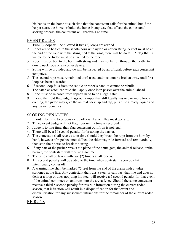his hands on the horse at such time that the contestant calls for the animal but if the helper starts the horse or holds the horse in any way that affects the contestant's scoring process, the contestant will receive a no time.

#### EVENT RULES

- 1. Two (2) loops will be allowed if two (2) loops are carried.
- 2. Ropes are to be tied to the saddle horn with nylon or cotton string. A knot must be at the end of the rope with the string tied at the knot, there will be no tail. A flag that is visible to the Judge must be attached to the rope.
- 3. Rope must be tied to the horn with string and may not be run through the bridle, tie down, neck rope or any other device.
- 4. String will be provided and tie will be inspected by an official, before each contestant competes.
- 5. The second rope must remain tied until used, and must not be broken away untilfirst loop has been discarded.
- 6. If second loop falls from the saddle or roper's hand, it cannot be rebuilt.
- 7. The catch as catch can rule shall apply once loop passes over the animal'shead.
- 8. Rope must be released from roper's hand to be a legal catch.
- 9. In case the field flag judge flags out a roper that still legally has one or more loops coming, the judge may give the animal back lap and tap, plus time already lapsed and any barrier penalties.

#### SCORING PENALTIES

- 1. In order for time to be considered official, barrier flag must operate.
- 2. Timed event Judge will not flag rider until a time is recorded.
- 3. Judge is to flag time, then flag contestant out if run is not legal.
- 4. There will be a 10 second penalty for breaking the barrier.
- 5. The contestant shall receive a no time should they break the rope from the horn by hand, however if rope becomes dallied the rider may ride forward and remove dally, then stop their horse to break the string.
- 6. If any part of the pusher breaks the plane of the chute gate, the animal release, or the barrier, the contestant will receive a no time.
- 7. The time shall be taken with two (2) timers at all rodeos.
- 8. A 5 second penalty will be added to the time when contestant's cowboy hat intentionally comes off.
- 9. A warning line shall be marked 75 feet from the end of the arena with a judge stationed at the line. Any contestant that runs a steer or calf past that line and does not deliver a loop or does not jump his steer will receive a 5 second penalty for that event if the animal continues on and runs into the arena fence. Should the same contestant receive a third 5 second penalty for this rule infraction during the current rodeo season, that infraction will result in a disqualification for that event and disqualification for any subsequent infractions for the remainder of the current rodeo season.

#### RE-RUNS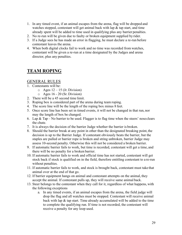- 1. In any timed event, if an animal escapes from the arena, flag will be dropped and watches stopped, contestant will get animal back with lap & tap start, and time already spent will be added to time used in qualifying plus any barrier penalties.
- 2. No re-run will be given due to faulty or broken equipment supplied by rider.
- 3. If a Judge sees he has made an error in flagging, he must declare a re-run before contestant leaves the arena.
- 4. When both digital clocks fail to work and no time was recorded from watches, contestant will be given a re-run at a time designated by the Judges and arena director, plus any penalties.

# **TEAM ROPING**

#### GENERAL RULES

- 1. Contestants will be:
	- $\circ$  Ages 12 15 (Jr. Division)
	- o Ages 16 20 (Sr. Division)
- 2. There will be a 45 second time limit.
- 3. Roping box is considered part of the arena during team roping.
- 4. The score line will be the length of the roping box minus 8 feet.
- 5. Once score line has been set in timed events, it will not be changed in that run, nor may the length of box be changed.
- 6. Lap & Tap No barrier to be used. Flagger is to flag time when the steers' noseclears the chute.
- 7. It is always the decision of the barrier Judge whether the barrier is broken.
- 8. Should the barrier break at any point in other than the designated breaking point, the decision is up to the Barrier Judge. If contestant obviously beats the barrier, but the staples are pulled or barrier rope is broken and string unbroken, barrier Judge may assess 10-second penalty. Otherwise this will not be considered a broken barrier.
- 9. If automatic barrier fails to work, but time is recorded, contestant will get a time, and there will be no penalty for a broken barrier.
- 10. If automatic barrier fails to work and official time has not started, contestant will get stock back if stock is qualified on in the field, therefore entitling contestant to a re-run without penalties.
- 11. If automatic barrier fails to work, and stock is brought back, contestant must take that animal over at the end of that go.
- 12. If barrier equipment hangs on animal and contestant attempts on the animal, they accept the animal. If contestant pulls up, they will receive same animal back.
- 13. Steer belongs to the contestant when they call for it, regardless of what happens, with the following exceptions
	- a. In any timed events, if an animal escapes from the arena, the field judge will drop the flag and all watches must be stopped. Contestant will receive animal back with lap & tap start. Time already accumulated will be added to the time to complete the qualifying run. If time is not recorded, the contestant will receive a penalty for any loop used.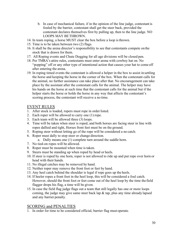- b. In case of mechanical failure, if in the opinion of the line judge, contestant is fouled by the barrier, contestant shall get the steer back, provided the contestant declares themselves first by pulling up, then to the line judge. NO LOOPS MAY BETHROWN.
- 14. In team roping, a horse MUST clear the box before a loop isthrown.
- 15. Time is to be taken between two (2) flags.
- 16. It shall be the arena director's responsibility to see that contestants compete on the stock that is drawn for them.
- 17. All Roping events and Chute Dogging for all age divisions will be closed pen.
- 18. Per TMRA's attire rules, contestants must enter arena with cowboy hat on. No "popping" off or any other type of intentional action that causes your hat to come off after entering the arena.
- 19. In roping timed events the contestant is allowed a helper in the box to assist in settling the horse and keeping the horse in the corner of the box. When the contestant calls for the animal, no further assistance can take place after that. No encouragement can take place by the assistant after the contestant calls for the animal. The helper may have his hands on the horse at such time that the contestant calls for the animal but if the helper starts the horse or holds the horse in any way that affects the contestant's scoring process, the contestant will receive a no time.

#### EVENT RULES

- 1. After stock is loaded, ropers must rope in order listed.
- 2. Each roper will be allowed to carry one (1) rope.
- 3. Each team will be allowed three (3) loops.
- 4. Time will be taken when steer is roped, and both horses are facing steer in line with ropes dallied and tight, Horses front feet must be on the ground.
- 5. Roping steer without letting go of the rope will be considered a no catch.
- 6. Roper must dally to stop steer or change direction.
	- a. Dally means one (1) complete turn around the saddle horn.
- 7. No tied-on ropes will be allowed.
- 8. Roper must be mounted when time is taken.
- 9. Steers must be standing up when roped by head or heels.
- 10. If steer is roped by one horn, roper is not allowed to ride up and put rope over horn or head with their hands.
- 11. No illegal catches may be removed by hand.
- 12. Neither roper may remove the front foot or feet by hand.
- 13. Any heel catch behind the shoulder is legal if rope goes up the heels.
- 14. If heeler ropes a front foot in the heel loop, this will be considered a foul catch. However, should the front foot or feet come out of the heel loop by the time the field flagger drops his flag, a time will be given.
- 15. In case the field flag judge flags out a team that still legally has one or more loops coming, the judge may give same steer back lap  $\&$  tap, plus any time already lapsed and any barrier penalty.

#### SCORING and PENALTIES

1. In order for time to be considered official, barrier flag must operate.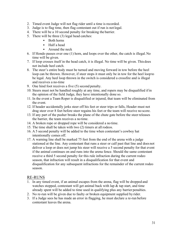- 2. Timed event Judge will not flag rider until a time is recorded.
- 3. Judge is to flag time, then flag contestant out if run is not legal.
- 4. There will be a 10 second penalty for breaking the barrier.
- 5. There will be three (3) legal head catches:
	- Both horns
	- Half a head
	- Around the neck
- 6. If Hondo passes over one (1) horn, and loops over the other, the catch is illegal.No time will be given.
- 7. If loop crosses itself in the head catch, it is illegal. No time will be given. This does not include heel catch.
- 8. The steer's entire body must be turned and moving forward in tow before the heel loop can be thrown. However, if steer stops it must only be in tow for the heel loop to be legal. Any heel loop thrown in the switch is considered a crossfire and is illegal and receives a no-time
- 9. One hind foot receives a five (5) second penalty.
- 10. Steers must not be handled roughly at any time, and ropers may be disqualified ifin the opinion of the field Judge, they have intentionally done so.
- 11. In the event a Team Roper is disqualified or injured, that team will be eliminated from the event.
- 12. If header accidentally jerks steer off his feet or steer trips or falls, Header must not drag steer over 8 feet before steer regains his feet or the team will receive no score.
- 13. If any part of the pusher breaks the plane of the chute gate before the steer releases the barrier, the team receives a no time.
- 14. A broken rope or dropped rope will be considered a no time.
- 15. The time shall be taken with two (2) timers at all rodeos.
- 16. A 5 second penalty will be added to the time when contestant's cowboy hat intentionally comes off.
- 17. A warning line shall be marked 75 feet from the end of the arena with a judge stationed at the line. Any contestant that runs a steer or calf past that line and does not deliver a loop or does not jump his steer will receive a 5 second penalty for that event if the animal continues on and runs into the arena fence. Should the same contestant receive a third 5 second penalty for this rule infraction during the current rodeo season, that infraction will result in a disqualification for that event and disqualification for any subsequent infractions for the remainder of the current rodeo season.

#### RE-RUNS

- 1. In any timed event, if an animal escapes from the arena, flag will be dropped and watches stopped, contestant will get animal back with lap  $\&$  tap start, and time already spent will be added to time used in qualifying plus any barrier penalties.
- 2. No re-run will be given due to faulty or broken equipment supplied by rider.
- 3. If a Judge sees he has made an error in flagging, he must declare a re-run before contestant leaves the arena.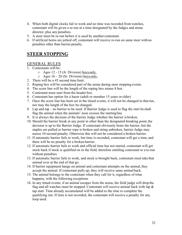- 4. When both digital clocks fail to work and no time was recorded from watches, contestant will be given a re-run at a time designated by the Judges and arena director, plus any penalties.
- 5. A steer must be re-run before it is used by another contestant.
- 6. If artificial horns are jerked off, contestant will receive re-run on same steer with no penalties other than barrier penalty.

# **STEER STOPPING**

#### GENERAL RULES

- 1. Contestants will be:
	- o Ages 12 15 (Jr. Division) boys only.
	- $\circ$  Ages 16 20 (Sr. Division) boys only.
- 2. There will be a 45 second time limit.
- 3. Roping box will be considered part of the arena during steer stopping events.
- 4. The score line will be the length of the roping box minus 8 feet.
- 5. Contestant must start from the header box.
- 6. Contestant has option for a hazer (adult or member 15 years or older)
- 7. Once the score line has been set in the timed events, it will not be changed in thatrun, nor may the length of the box be changed.
- 8. Lap and tap no barrier to be used. If Barrier Judge is used to flag the start he shall flag the animal when the animals' nose crosses the startingline.
- 9. It is always the decision of the barrier Judge whether the barrier is broken.
- 10. Should the barrier break at any point in other than the designated breaking point, the decision is up to the Barrier Judge. If contestant obviously beats the barrier, but the staples are pulled or barrier rope is broken and string unbroken, barrier Judge may assess 10-second penalty. Otherwise this will not be considered a broken barrier.
- 11. If automatic barrier fails to work, but time is recorded, contestant will get a time, and there will be no penalty for a broken barrier.
- 12. If automatic barrier fails to work and official time has not started, contestant will get stock back if stock is qualified on in the field, therefore entitling contestant to a re-run without penalties.
- 13. If automatic barrier fails to work, and stock is brought back, contestant must take that animal over at the end of that go.
- 14. If barrier equipment hangs on animal and contestant attempts on the animal, they accept the animal. If contestant pulls up, they will receive same animal back.
- 15. The animal belongs to the contestant when they call for it, regardless of what happens, with the following exceptions
- 16. In any timed events, if an animal escapes from the arena, the field judge will drop the flag and all watches must be stopped. Contestant will receive animal back with lap  $\&$ tap start. Time already accumulated will be added to the time to complete the qualifying run. If time is not recorded, the contestant will receive a penalty for any loop used.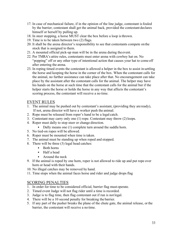- 17. In case of mechanical failure, if in the opinion of the line judge, contestant isfouled by the barrier; contestant shall get the animal back, provided the contestant declares himself or herself by pulling up.
- 18. In steer stopping, a horse MUST clear the box before a loop isthrown.
- 19. Time is to be taken between two (2) flags.
- 20. It shall be the arena director's responsibility to see that contestants compete on the stock that is assigned to them.
- 21. A mounted official pick-up man will be in the arena during theevent.
- 22. Per TMRA's attire rules, contestants must enter arena with cowboy hat on. No "popping" off or any other type of intentional action that causes your hat to come off after entering the arena.
- 23. In roping timed events the contestant is allowed a helper in the box to assist in settling the horse and keeping the horse in the corner of the box. When the contestant calls for the animal, no further assistance can take place after that. No encouragement can take place by the assistant after the contestant calls for the animal. The helper may have his hands on the horse at such time that the contestant calls for the animal but if the helper starts the horse or holds the horse in any way that affects the contestant's scoring process, the contestant will receive a no time.

#### EVENT RULES

- 1. The animal may be pushed out by contestant's assistant, (providing they are ready), If not, arena director will have a worker push the animal.
- 2. Rope must be released from roper's hand to be a legal catch.
- 3. Contestant may carry only one (1) rope. Contestant may throw (2) loops.
- 4. Roper must dally to stop steer or change direction.
	- Dally means one (1) complete turn around the saddle horn.
- 5. No tied-on ropes will be allowed.
- 6. Roper must be mounted when time is taken.
- 7. The animal must be standing up when roped and stopped.
- 8. There will be three (3) legal head catches:
	- Both horns
	- Half a head
	- Around the neck
- 9. If the animal is roped by one horn, roper is not allowed to ride up and put rope over horn or head with their hands.
- 10. No illegal catches may be removed by hand.
- 11. Time stops when the animal faces horse and rider and judge drops flag

#### SCORING PENALTIES

- 1. In order for time to be considered official, barrier flag must operate.
- 2. Timed event Judge will not flag rider until a time is recorded.
- 3. Judge is to flag time, then flag contestant out if run is not legal.
- 4. There will be a 10 second penalty for breaking the barrier.
- 5. If any part of the pusher breaks the plane of the chute gate, the animal release, or the barrier, the contestant will receive a no time.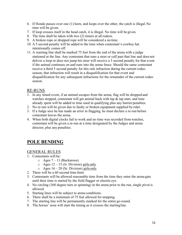- 6. If Hondo passes over one (1) horn, and loops over the other, the catch is illegal.No time will be given.
- 7. If loop crosses itself in the head catch, it is illegal. No time will be given.
- 8. The time shall be taken with two (2) timers at all rodeos.
- 9. A broken rope or dropped rope will be considered a no time.
- 10. A 5 second penalty will be added to the time when contestant's cowboy hat intentionally comes off.
- 11. A warning line shall be marked 75 feet from the end of the arena with a judge stationed at the line. Any contestant that runs a steer or calf past that line and does not deliver a loop or does not jump his steer will receive a 5 second penalty for that event if the animal continues on and runs into the arena fence. Should the same contestant receive a third 5 second penalty for this rule infraction during the current rodeo season, that infraction will result in a disqualification for that event and disqualification for any subsequent infractions for the remainder of the current rodeo season.

#### RE-RUNS

- 1. In any timed event, if an animal escapes from the arena, flag will be dropped and watches stopped, contestant will get animal back with lap  $\&$  tap start, and time already spent will be added to time used in qualifying plus any barrier penalties.
- 2. No re-run will be given due to faulty or broken equipment supplied by rider.
- 3. If a Judge sees he has made an error in flagging, he must declare a re-run before contestant leaves the arena.
- 4. When both digital clocks fail to work and no time was recorded from watches, contestant will be given a re-run at a time designated by the Judges and arena director, plus any penalties.

# **POLE BENDING**

#### GENERAL RULES

- 1. Contestants will be:
	- $\circ$  Ages 7 11 (Buckaroos).
	- $\circ$  Ages 12 15 (Jr. Division) girls only
	- $\circ$  Ages 16 20 (Sr. Division) girls only
- 2. There will be a 60 second time limit.
- 3. Contestants will be allowed reasonable time from the time they enter the arena gate until their time is started by the field flagger or electric eye.
- 4. No circling (360 degree turn or spinning) in the arena prior to the run, single pivot is allowed.
- 5. Starting lines will be subject to arena conditions.
- 6. There shall be a minimum of 75 feet allowed for stopping.
- 7. The starting line will be permanently marked for the entire go-round.
- 8. The horses' nose will start the timing as it crosses the startingline.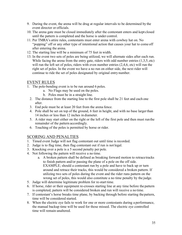- 9. During the event, the arena will be drug at regular intervals to be determined by the event director or officials.
- 10. The arena gate must be closed immediately after the contestant enters and kept closed until the pattern is completed and the horse is under control.
- 11. Per TMRA's attire rules, contestants must enter arena with cowboy hat on. No "popping" off or any other type of intentional action that causes your hat to come off after entering the arena.
- 12. The starting line will be a minimum of 75 feet in width.
- 13. In the event two sets of poles are being utilized, we will alternate sides after each run. While facing the arena from the entry gate, riders with odd number entries (1,3,5, etc) will run the left set of poles, riders with even number entries  $(2, 4, 6, etc)$  will run the right set of poles. In the event we have a no run on either side, the next rider will continue to ride the set of poles designated by original entry number.

#### EVENT RULES

- 1. The pole-bending event is to be run around 6 poles.
	- a. No Flags may be used on the poles.
	- b. Poles must be in a straight line.
	- 2. The distance from the starting line to the first pole shall be 21 feet and each one after.
	- 3. End pole must be at least 20 feet from the arena fence.
	- 4. Pole shall be set on top of the ground, 6 feet in height, and with no base largerthan 14 inches or less than 12 inches in diameter.
	- 5. A rider may start either on the right or the left of the first pole and then must runthe remainder of the pattern accordingly.
	- 6. Touching of the poles is permitted by horse or rider.

#### SCORING AND PENALTIES

- 1. Timed event Judge will not flag contestant out until time is recorded.
- 2. Judge is to flag time, then flag contestant out if run is not legal.
- 3. Knocking over a pole is a 5 second penalty per pole.
- 4. Not following the pattern will receive a no time.
	- a. A broken pattern shall be defined as breaking forward motion to retracetracks to finish pattern and/or passing the plane of a pole on the off side. EXAMPLE; should a contestant run by a pole and have to back up or turn around and retrace their tracks, this would be considered a broken pattern. If utilizing two sets of poles during the event and the rider runs pattern on the wrong set of poles, this would also constitute a no time penalty by the judge.
- 5. Judge will determine legitimate problem for re-start time.
- 6. If horse, rider or their equipment re-crosses starting line at any time before the pattern is completed, pattern will be considered broken and run will receive a no time.
- 7. If contestant's horse breaks time plane, by backing through before starting thepattern, time will be considered started.
- 8. When the electric eye fails to work for one or more contestants during a performance, the manual backup time will be used for those missed. The electric eye controlled time will remain unaltered.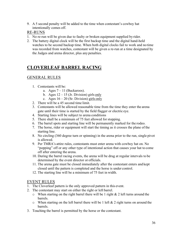9. A 5 second penalty will be added to the time when contestant's cowboy hat intentionally comes off.

#### RE-RUNS

- 1. No re-run will be given due to faulty or broken equipment supplied by rider.
- 2. The battery digital clock will be the first backup time and the digital hand-held watches to be second backup time. When both digital clocks fail to work and no time was recorded from watches, contestant will be given a re-run at a time designated by the Judges and arena director, plus any penalties.

# **CLOVERLEAF BARREL RACING**

# GENERAL RULES

- 1. Contestants will be:
	- a. Ages  $7 11$  (Buckaroos).
	- b. Ages  $12 15$  (Jr. Division) girls only
	- c. Ages  $16 20$  (Sr. Division) girls only
- 2. There will be a 45 second time limit.
- 3. Contestants will be allowed reasonable time from the time they enter the arena gate until their time is started by the field flagger or electric eye.
- 4. Starting lines will be subject to arena conditions
- 5. There shall be a minimum of 75 feet allowed for stopping.
- 6. The barrel spots and starting line will be permanently marked for the rodeo.
- 7. The horse, rider or equipment will start the timing as it crosses the plane ofthe starting line.
- 8. No circling (360 degree turn or spinning) in the arena prior to the run, single pivot is allowed.
- 9. Per TMRA's attire rules, contestants must enter arena with cowboy hat on. No "popping" off or any other type of intentional action that causes your hat to come off after entering the arena.
- 10. During the barrel racing events, the arena will be drug at regular intervals to be determined by the event director or officials.
- 11. The arena gate must be closed immediately after the contestant enters and kept closed until the pattern is completed and the horse is under control.
- 12. The starting line will be a minimum of 75 feet in width.

#### EVENT RULES

- 1. The Cloverleaf pattern is the only approved pattern in this event.
- 2. The contestant may start on either the right or left barrel.
	- $\circ$  When starting on the right barrel there will be 1 right & 2 left turns around the barrels.
	- $\circ$  When starting on the left barrel there will be 1 left & 2 right turns on around the barrels.
- 3. Touching the barrel is permitted by the horse or the contestant.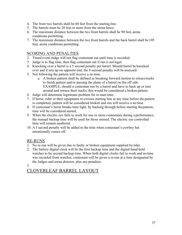- 4. The front two barrels shall be 60 feet from the starting line.
- 5. The barrels must be 20 feet or more from the arena fence.
- 6. The maximum distance between the two front barrels shall be 90 feet, arena conditions permitting.
- 7. The maximum distance between the two front barrels and the back barrel shall be 105 feet, arena conditions permitting.

### SCORING AND PENALTIES

- 2. Timed event Judge will not flag contestant out until time is recorded.
- 3. Judge is to flag time, then flag contestant out if run is not legal.
- 4. Knocking over a barrel is a 5 second penalty per barrel. Should barrel be knocked over and it sets up on opposite end, the 5-second penalty will be assessed.
- 5. Not following the pattern will receive a no time.
	- a. A broken pattern shall be defined as breaking forward motion to retracetracks to finish pattern and/or passing the plane of a barrel on the off side. EXAMPLE; should a contestant run by a barrel and have to back up or turn around and retrace their tracks, this would be considered a broken pattern.
- 6. Judge will determine legitimate problem for re-start time.
- 7. If horse, rider or their equipment re-crosses starting line at any time before the pattern is completed, pattern will be considered broken and run will receive a no time.
- 8. If contestant's horse breaks time light, by backing through before starting thepattern, time will be considered started.
- 9. When the electric eye fails to work for one or more contestants during a performance, the manual backup time will be used for those missed. The electric eye controlled time will remain unaltered.
- 10. A 5 second penalty will be added to the time when contestant's cowboy hat intentionally comes off.

#### RE-RUNS

- 1. No re-run will be given due to faulty or broken equipment supplied by rider.
- 2. The battery digital clock will be the first backup time and the digital hand-held watches to be second backup time. When both digital clocks fail to work and no time was recorded from watches, contestant will be given a re-run at a time designated by the Judges and arena director, plus any penalties.

#### 3.

# CLOVERLEAF BARREL LAYOUT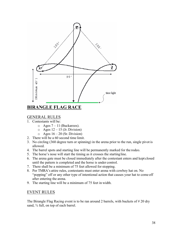

# GENERAL RULES

- 1. Contestants will be:
	- $\circ$  Ages 7 11 (Buckaroos).
	- $\circ$  Ages 12 15 (Jr. Division)
	- $\circ$  Ages 16 20 (Sr. Division)
- 2. There will be a 60 second time limit.
- 3. No circling (360 degree turn or spinning) in the arena prior to the run, single pivot is allowed.
- 4. The barrel spots and starting line will be permanently marked for the rodeo.
- 5. The horse's nose will start the timing as it crosses the startingline.
- 6. The arena gate must be closed immediately after the contestant enters and kept closed until the pattern is completed and the horse is under control.
- 7. There shall be a minimum of 75 feet allowed for stopping.
- 8. Per TMRA's attire rules, contestants must enter arena with cowboy hat on. No "popping" off or any other type of intentional action that causes your hat to come off after entering the arena.
- 9. The starting line will be a minimum of 75 feet in width.

#### EVENT RULES

The Birangle Flag Racing event is to be ran around 2 barrels, with buckets of #20 dry sand,  $\frac{3}{4}$  full, on top of each barrel.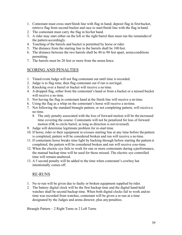- 1. Contestant must cross start/finish line with flag in hand; deposit flag in first bucket, retrieve flag from second bucket and race to start/finish line with the flag in hand.
- 2. The contestant must carry the flag in his/her hand.
- 3. A rider may start either on the left or the right barrel then must run the remainderof the pattern accordingly.
- 4. Touching of the barrels and bucket is permitted by horse or rider.
- 5. The distance from the starting line to the barrels shall be 100 feet.
- 6. The distance between the two barrels shall be 40 to 90 feet apart, arena conditions permitting.
- 7. The barrels must be 20 feet or more from the arena fence.

### SCORING AND PENALTIES

- 1. Timed event Judge will not flag contestant out until time is recorded.
- 2. Judge is to flag time, then flag contestant out if run is not legal.
- 3. Knocking over a barrel or bucket will receive a no time.
- 4. A dropped flag, either from the contestant's hand or from a bucket or a missed bucket will receive a no time.
- 5. Not having the flag in contestant hand at the finish line will receive a no time.
- 6. Using the flag as a whip on the contestant's horse will receive a notime.
- 7. Not following the standard birangle pattern, or not completing pattern, will receive a no time.
	- 8. The only penalty associated with the loss of forward motion will be the increased time covering the course. Contestants will not be penalized for loss of forward motion (OK to circle barrel, as long as direction is not reversed).
- 9. Judge will determine legitimate problem for re-start time.
- 10. If horse, rider or their equipment re-crosses starting line at any time before the pattern is completed, pattern will be considered broken and run will receive a no time.
- 11. If contestants horse breaks time light by backing through before starting the pattern is completed, the pattern will be considered broken and run will receive a no-time.
- 12. When the electric eye fails to work for one or more contestants during a performance, the manual backup time will be used for those missed. The electric eye controlled time will remain unaltered.
- 13. A 5 second penalty will be added to the time when contestant's cowboy hat intentionally comes off.

# RE-RUNS

- 1. No re-run will be given due to faulty or broken equipment supplied by rider.
- 2. The battery digital clock will be the first backup time and the digital hand-held watches shall be second backup time. When both digital clocks fail to work and no time was recorded from watches, contestant will be given a re-run at a time designated by the Judges and arena director, plus any penalties.

Birangle Pattern – 2 Right Turns or 2 Left Turns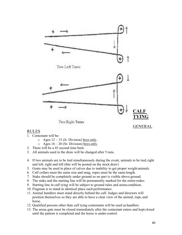

#### RULES

- 1. Contestant will be:
	- $\circ$  Ages 12 15 (Jr. Division) boys only.
	- $\circ$  Ages 16 20 (Sr. Division) boys only.
- 2. There will be a 45 second time limit.
- 3. All animals used in the draw will be changed after 5 runs.
- 4. If two animals are to be tied simultaneously during the event, animals to be tied,right and left, right and left (this will be posted on the stock draw)
- 5. Goats may be used in place of calves due to inability to get proper weight animals.
- 6. Calf collars must the same size and snug, ropes must be the same length.
- 7. Stake should be completely under ground so no part is visible above ground.
- 8. The stake and the starting line will be permanently marked for the entire rodeo.
- 9. Starting line in calf tying will be subject to ground rules and arena condition.
- 10. Flagman is to stand in identical place each performance.
- 11. Animal handlers must stand directly behind the calf. Judges and directors will position themselves so they are able to have a clear view of the animal, rope, and horse.
- 12. Qualified persons other than calf tying contestants will be used as handlers.
- 13. The arena gate must be closed immediately after the contestant enters and kept closed until the pattern is completed and the horse is under control.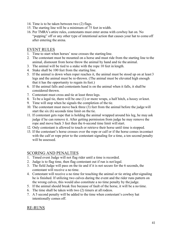- 14. Time is to be taken between two (2) flags.
- 15. The starting line will be a minimum of 75 feet in width.
- 16. Per TMRA's attire rules, contestants must enter arena with cowboy hat on. No "popping" off or any other type of intentional action that causes your hat to come off after entering the arena.

#### EVENT RULES

- 1. Time to start when horses' nose crosses the startingline.
- 2. The contestant must be mounted on a horse and must ride from the starting line to the animal, dismount from horse throw the animal by hand and tie the animal.
- 3. The animal will be tied to a stake with the rope 10 feet in length.
- 4. Stake shall be 100 feet from the starting line.
- 5. If the animal is down when roper reaches it, the animal must be stood up on at least 3 legs and the animal must be re-thrown. (The animal must be elevated high enough that it has the opportunity to regain its feet.)
- 6. If the animal falls and contestants hand is on the animal when it falls, it shall be considered thrown.
- 7. Contestant must cross and tie at least three legs.
- 8. To be a legal tie, there will be one (1) or more wraps, a half hitch, a hooey or knot.
- 9. Time will stop when he signals the completion of the tie.
- 10. The contestant must move back three (3) feet from the animal before the judge will start the six (6) seconds time limit on the tie.
- 11. If contestant gets rope that is holding the animal wrapped around his leg, he may ask judge if he can remove it. After getting permission from judge he may remove the rope and move back 3 feet then the 6-second time limit will start.
- 12. Only contestant is allowed to touch or retrieve their horse until time isstopped.
- 13. If the contestant's horse crosses over the rope or calf or if the horse comes incontact with the calf or rope prior to the contestant signaling for a time, a ten second penalty will be assessed.

#### SCORING AND PENALTIES

- 1. Timed event Judge will not flag rider until a time is recorded.
- 2. Judge is to flag time, then flag contestant out if run is not legal.
- 3. The field Judge will pass on the tie and if it is not secure for the 6 seconds, the contestant will receive a no time.
- 4. Contestant will receive a no time for touching the animal or tie string aftersignaling he is finished. If utilizing two calves during the event and the rider runs pattern on the wrong calves, this would also constitute a no time penalty by the judge.
- 5. If the animal should break free because of fault of the horse, it will be a no time.
- 6. The time shall be taken with two (2) timers at all rodeos.
- 7. A 5 second penalty will be added to the time when contestant's cowboy hat intentionally comes off.

#### RE-RUNS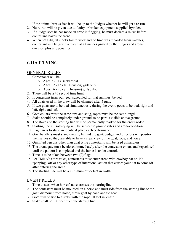- 1. If the animal breaks free it will be up to the Judges whether he will get a re-run.
- 2. No re-run will be given due to faulty or broken equipment supplied by rider.
- 3. If a Judge sees he has made an error in flagging, he must declare a re-run before contestant leaves the arena.
- 4. When both digital clocks fail to work and no time was recorded from watches, contestant will be given a re-run at a time designated by the Judges and arena director, plus any penalties.

# **GOAT TYING**

#### GENERAL RULES

- 1. Contestants will be:
	- o Ages 7 11 (Buckaroos)
	- o Ages 12 15 (Jr. Division) girls only.
	- o Ages 16 20 (Sr. Division) girls only.
- 2. There will be a 45 second time limit.
- 3. If contestant turns out, goat scheduled for that run must be tied.
- 4. All goats used in the draw will be changed after 5 runs.
- 5. If two goats are to be tied simultaneously during the event, goats to be tied, right and left, right and left.
- 6. Goat collars must the same size and snug, ropes must be the same length.
- 7. Stake should be completely under ground so no part is visible above ground.
- 8. The stake and the starting line will be permanently marked for the entire rodeo.
- 9. Starting line in Goat-tying will be subject to ground rules and arena condition.
- 10. Flagman is to stand in identical place each performance.
- 11. Goat handlers must stand directly behind the goat. Judges and directors will position themselves so they are able to have a clear view of the goat, rope, and horse.
- 12. Qualified persons other than goat tying contestants will be used as handlers.
- 13. The arena gate must be closed immediately after the contestant enters and kept closed until the pattern is completed and the horse is under control.
- 14. Time is to be taken between two (2) flags.
- 15. Per TMRA's attire rules, contestants must enter arena with cowboy hat on. No "popping" off or any other type of intentional action that causes your hat to come off after entering the arena.
- 16. The starting line will be a minimum of 75 feet in width.

#### EVENT RULES

- 1. Time to start when horses' nose crosses the startingline.
- 2. The contestant must be mounted on a horse and must ride from the starting line to the goat, dismount from horse, throw goat by hand and tie goat.
- 3. Goat will be tied to a stake with the rope 10 feet in length
- 4. Stake shall be 100 feet from the starting line.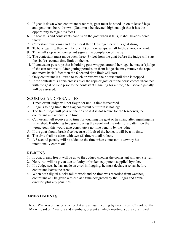- 5. If goat is down when contestant reaches it, goat must be stood up on at least 3 legs and goat must be re-thrown. (Goat must be elevated high enough that it has the opportunity to regain its feet.)
- 6. If goat falls and contestants hand is on the goat when it falls, it shall be considered thrown.
- 7. Contestant must cross and tie at least three legs together with a goatstring.
- 8. To be a legal tie, there will be one (1) or more wraps, a half hitch, a hooey or knot.
- 9. Time will stop when contestant signals the completion of the tie.
- 10. The contestant must move back three (3) feet from the goat before the judge willstart the six (6) seconds time limit on the tie.
- 11. If contestant gets rope that is holding goat wrapped around her leg, she may ask judge if she can remove it. After getting permission from judge she may remove the rope and move back 3 feet then the 6-second time limit will start.
- 12. Only contestant is allowed to touch or retrieve their horse until time isstopped.
- 13. If the contestant's horse crosses over the rope or goat or if the horse comes incontact with the goat or rope prior to the contestant signaling for a time, a ten second penalty will be assessed.

### SCORING AND PENALTIES

- 1. Timed event Judge will not flag rider until a time is recorded.
- 2. Judge is to flag time, then flag contestant out if run is not legal.
- 3. The field Judge will pass on the tie and if it is not secure for the 6 seconds, the contestant will receive a no time.
- 4. Contestant will receive a no time for touching the goat or tie string after signaling she is finished. If utilizing two goats during the event and the rider runs pattern on the wrong goat, this would also constitute a no time penalty by the judge.
- 5. If the goat should break free because of fault of the horse, it will be a no time.
- 6. The time shall be taken with two (2) timers at all rodeos.
- 7. A 5 second penalty will be added to the time when contestant's cowboy hat intentionally comes off.

#### RE-RUNS

- 1. If goat breaks free it will be up to the Judges whether the contestant will get a re-run.
- 2. No re-run will be given due to faulty or broken equipment supplied by rider.
- 3. If a Judge sees he has made an error in flagging, he must declare a re-run before contestant leaves the arena.
- 4. When both digital clocks fail to work and no time was recorded from watches, contestant will be given a re-run at a time designated by the Judges and arena director, plus any penalties.

# **AMENDMENTS**

These BY-LAWS may be amended at any annual meeting by two thirds (2/3) vote of the TMRA Board of Directors and members, present at which meeting a duly constituted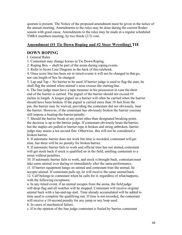quorum is present. The Notice of the proposed amendment must be given in the notice of the annual meeting. Amendments to the rules may be done during the current Rodeo season with good cause. Amendments to the rules may be made at a regular scheduled TMRA members meeting, by two thirds (2/3) vote.

### **Amendment (#1 Tie Down Roping and #2 Steer Wrestling) TIE**

#### **DOWN ROPING**

I. General Rules

1. Contestant may change horses in Tie Down Roping.

2. Roping Box -- shall be part of the arena during roping events.

3. Refer to Score Line Diagram in the back of thisrulebook.

4. Once score line has been set in timed events it will not be changed in that go, nor can length of box be changed.

5. Lap and Tap -- No barrier to be used. If barrier judge is used to flag the start, he shall flag the animal when animal's nose crosses the startingline.

6. The line judge must have a tape measure in his possession in case the short end of the barrier is carried. The pigtail of the barrier should not exceed 10 inches in length. A longer pigtail on a barrier will often be carried when the barrier should have been broken. If the pigtail is carried more than 10 feet from the pin, the barrier may be waived, providing the contestant did not obviously, beat the barrier. However, if the contestant has obviously broken the barrier youmay still impose a beating-the-barrier penalty.

7. Should the barrier break at any point other than designated breaking point, the decision is up to the barrier judge. If contestant obviously beats the barrier, but the staples are pulled or barrier rope is broken and string unbroken, barrier judge may assess a ten second fine. Otherwise, this will not be considered a broken barrier.

8. If automatic barrier does not work but time is recorded, contestant will get time, but there will be no penalty for broken barrier.

9. If automatic barrier fails to work and official time has not started, contestant will get stock back if stock is qualified on in the field, entitling contestant to a rerun without penalties.

10. If automatic barrier fails to work, and stock is brought back, contestant must take same animal over during or immediately after the same performance.

11. If barrier equipment hangs on animal and contestant tries the animal, he accepts animal. If contestant pulls up, he will receive the same animal back.

12. Calf belongs to contestant when he calls for it, regardless of what happens, with the following exceptions:

a. In any timed event, if an animal escapes from the arena, the field judge will drop flag and all watches will be stopped. Contestant will receive original animal back with a lap-and-tap start. Time already accumulated will be added to time used to complete the qualifying run. If time is not recorded, the contestant will receive a 10-second penalty for any jump or any loop used.

b. In cases of mechanical failure.

c. If in the opinion of the line judge contestant is fouled by barrier, contestant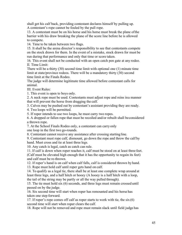shall get his calf back, providing contestant declares himself by pulling up. A contestant's rope cannot be fouled by the pull rope.

13. A contestant must be on his horse and his horse must break the plane ofthe barrier with his draw breaking the plane of the score line before he is allowed to compete.

14. Time to be taken between two flags.

15. It shall be the arena director's responsibility to see that contestants compete on the stock drawn for them. In the event of a mistake, stock drawn for must be run during that performance and only that time or score taken.

16. This event shall not be conducted with an open catch pen gate at any rodeo. II. Time Limit:

There will be a thirty (30) second time limit with optional one (1) minute time limit at state/province rodeos. There will be a mandatory thirty (30) second time limit at the Finals Rodeo.

The judge will determine legitimate time allowed before contestant calls for animal.

III. Event Rules:

1. This event is open to boys only.

2. A neck rope must be used. Contestants must adjust rope and reins ina manner that will prevent the horse from dragging the calf.

3. Calves may be pushed out by contestant's assistant providing they are ready.

4. Two loops will be permitted.

5. If roper intends to use two loops, he must carry two ropes.

6. A dropped or fallen rope that must be recoiled and/or rebuilt shall beconsidered a thrown rope.

7. At the School Finals Rodeo only, a contestant can carry only one loop in the first two go-rounds.

8. Contestant cannot receive any assistance after crossing starting line.

9. Contestant must rope calf, dismount, go down the rope and throw the calf by hand. Must cross and tie at least three legs.

10. Any catch is legal, catch as catch can rule.

11. If calf is down when roper reaches it, calf must be stood on at least three feet.

(Calf must be elevated high enough that it has the opportunity to regain its feet) and calf must be re-thrown.

12. If roper's hand is on calf when calf falls, calf is considered thrown by hand.

13. Rope must hold calf until roper gets hand on calf.

14. To qualify as a legal tie, there shall be at least one complete wrap around at least three legs, and a half hitch or hooey (A hooey is a half hitch with a loop, the tail of the string may be partly or all the way pulled through).

15. The tie must hold six (6) seconds, and three legs must remain crossed until passed on by the judge.

16. Six second time will start when roper has remounted and his horse has taken one step forward.

17. If roper's rope comes off calf as roper starts to work with tie, the  $\sin(6)$ second time will start when roper clears the calf.

18. Rope will not be removed and rope must remain slack until field judge has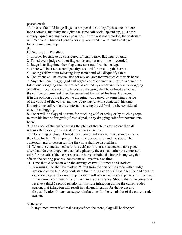passed on tie.

19. In case the field judge flags out a roper that still legally has one or more loops coming, the judge may give the same calf back, lap and tap, plus time already lapsed and any barrier penalties. If time was not recorded, the contestant will receive a 10-second penalty for any loop used. Contestant to only get to use remaining loop.

92

IV.Scoring and Penalties:

1. In order for time to be considered official, barrier flag must operate.

2. Timed event judge will not flag contestant out until time is recorded.

3. Judge is to flag time, then flag contestant out if run is not legal.

4. There will be a ten-second penalty assessed for breaking the barrier.

5. Roping calf without releasing loop from hand will disqualify catch.

6. Contestant will be disqualified for any abusive treatment of calf or his horse.

7. Any intentional dragging of calf regardless of distance will result in a no time. Intentional dragging shall be defined as caused by contestant. Excessive dragging of calf will receive a no time. Excessive dragging shall be defined as moving the calf six or more feet after the contestant has called for time. However, if in the opinion of the judge, the dragging was caused by something outside of the control of the contestant, the judge may give the contestant his time. Dragging the calf while the contestant is tying the calf will not be considered excessive dragging.

8. Roper will be flagged no time for touching calf, or string or by touching rope to train his horse after giving finish signal, or by dragging calf after he remounts horse.

9. If any part of the pusher breaks the plain of the chute gate before the calf releases the barrier, the contestant receives a no time.

10. No rattling of chute. Atimed event contestant may not have someone rattle the chute for him. This applies in both the performance and the slack. The contestant and/or person rattling the chute shall be disqualified.

11. When the contestant calls for the calf, no further assistance can take place after that. No encouragement can take place by the assistant after the contestant calls for the calf. If the helper starts the horse or holds the horse in any way that affects the scoring process, contestant will receive a no time.

11. Time should be taken with the average of two (2) times at all Rodeos.

12. A warning line shall be marked 75 feet from the end of the arena with a judge stationed at the line. Any contestant that runs a steer or calf past that line and does not deliver a loop or does not jump his steer will receive a 5 second penalty for that event if the animal continues on and runs into the arena fence. Should the same contestant receive a third 5 second penalty for this rule infraction during the current rodeo season, that infraction will result in a disqualification for that event and disqualification for any subsequent infractions for the remainder of the current rodeo season.

#### V.Reruns:

1. In any timed event if animal escapes from the arena, flag will be dropped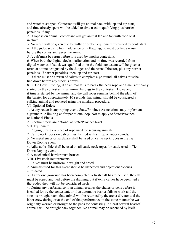and watches stopped. Contestant will get animal back with lap and tap start, and time already spent will be added to time used in qualifying plus barrier penalties, if any.

2. If rope is on animal, contestant will get animal lap and tap with rope on it in chute.

3. No rerun will be given due to faulty or broken equipment furnished by contestant.

4. If the judge sees he has made an error in flagging, he must declare a rerun before the contestant leaves the arena.

5. A calf must be rerun before it is used by anothercontestant.

6. When both the digital clocks malfunction and no time was recorded from digital watches, if stock was qualified on in the field, contestant will be given a rerun at a time designated by the Judges and theArena Director, plus any barrier penalties. If barrier penalties, then lap and tap start.

7. If there must be a rerun of calves to complete a go-round, all calves must be tied down before any stock is drawn.

8. In Tie Down Roping, if an animal fails to break the neck rope and time is officially started by the contestant, that animal belongs to the contestant.However,

if time is started by the animal and the calf roper remains behind the plain of the barrier for approximately 10 seconds that animal should be considered a sulking animal and replaced using the misdraw procedure.

VI. Optional Rules:

1. At any rodeo in any roping event, State/Province Associations may implement a ground rule limiting calf roper to one loop. Not to apply to State/Province or National Finals.

2. Electric timers are optional at State/Province level.

VII. Equipment

1. Pigging String - a piece of rope used for securing animals.

2. Cattle neck ropes on calves must be tied with string, or rubber bands.

3. No metal snaps or hardware shall be used on cattle neck ropes in the Tie Down Roping event.

4. Adjustable slide shall be used on all cattle neck ropes for cattle used inTie Down Roping event.

5. A mechanical barrier must be used.

VIII. Livestock Requirements:

1. Calves must be uniform in weight and breed.

2. Animals used for this event should be inspected and objectionable ones eliminated.

3. If after one go-round has been completed, a fresh calf has to be used, the calf must be roped and tied before the drawing, but if extra calves have been tied at that rodeo they will not be considered fresh.

4. During any performance if an animal escapes the chutes or pens before it is called for by the contestant, or if an automatic barrier fails to work and the stock is brought back, that animal will be returned by the arena director and the labor crew during or at the end of that performance in the same manner he was originally worked or brought to the pens for contesting. At least several head of animals will be brought back together. No animal may be repenned byitself.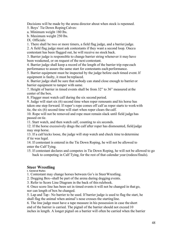Decisions will be made by the arena director about when stock is repenned.

5. Boys' Tie Down RopingCalves:

a. Minimum weight 180 lbs.

b. Maximum weight 250 lbs.

IX. Officials:

1. There shall be two or more timers, a field flag judge, and a barrierjudge.

2. A field flag judge must ask contestants if they want a second loop. Oncea contestant has been flagged out, he will receive no stock back.

3. Barrier judge is responsible to change barrier string whenever it may have been weakened, or on request of the next contestant.

4. Barrier judge shall keep a record of the length of the barrier trip rope each performance to assure the same start for contestants each performance.

5. Barrier equipment must be inspected by the judge before each timed event.If equipment is faulty, it must be replaced.

6. Barrier judge shall be sure that nobody can stand close enough to barrier or barrier equipment to tamper with same.

7. Height of barrier in timed events shall be from 32" to 36" measured at the center of the box.

8. Flagger must watch calf during the six second period.

9. Judge will start six (6) second time when roper remounts and his horse has taken one step forward. If roper's rope comes off calf as roper starts to workwith tie, the six (6) second time will start when roper clears the calf.

10. Rope will not be removed and rope must remain slack until field judge has passed on tie.

11. Start watch, and then watch calf, counting to six seconds.

12. If the horse excessively drags the calf after roper has dismounted, field judge may stop horse.

13. If a calf kicks loose, the judge will stop watch and check time to determine if tie was legal.

14. If contestant is entered in the Tie Down Roping, he will not be allowed to enter the Calf Tying.

15. If contestant declares and competes in Tie Down Roping, he will not be allowed to go back to competing in Calf Tying, for the rest of that calendar year (rodeos/finals).

#### **Steer Wrestling**

I. General Rules

1. Contestant may change horses between Go's in SteerWrestling.

2. Dogging Box--shall be part of the arena during dogging events.

3. Refer to Score Line Diagram in the back of thisrulebook.

4. Once score line has been set in timed events it will not be changed in that go, nor can length of box be changed.

5. Lap and Tap - No barrier to be used. If barrier judge is used to flag the start, he shall flag the animal when animal's nose crosses the startingline.

6. The line judge must have a tape measure in his possession in case the short end of the barrier is carried. The pigtail of the barrier should not exceed 10 inches in length. A longer pigtail on a barrier will often be carried when the barrier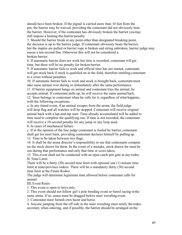should have been broken. If the pigtail is carried more than 10 feet from the pin, the barrier may be waived, providing the contestant did not obviously beat the barrier. However, if the contestant has obviously broken the barrier youmay still impose a beating-the-barrier penalty.

7. Should the barrier break at any point other than designated breaking point, the decision is up to the barrier judge. If contestant obviously beats the barrier, but the staples are pulled or barrier rope is broken and string unbroken, barrier judge may assess a ten-second fine. Otherwise this will not be considered a broken barrier.

8. If automatic barrier does not work but time is recorded, contestant will get time, but there will be no penalty for broken barrier.

9. If automatic barrier fails to work and official time has not started, contestant will get stock back if stock is qualified on in the field, therefore entitling contestant to a rerun without penalties.

10. If automatic barrier fails to work and stock is brought back, contestant must take same animal over during or immediately after the same performance.

11. If barrier equipment hangs on animal and contestant tries the animal, he accepts animal. If contestant pulls up, he will receive the same animal back. 12. Steer belongs to contestant when he calls for it, regardless of what happens, with the following exceptions:

a. In any timed event, if an animal escapes from the arena, the field judge will drop flag and all watches will be stopped. Contestant will receive original animal back with a lap-and-tap start. Time already accumulated will be added to time used to complete the qualifying run. If time is not recorded, the contestant will receive a 10-second penalty for any jump or any loop used.

b. In cases of mechanical failure.

c. If in the opinion of the line judge contestant is fouled by barrier, contestant shall get his steer back, providing contestant declares himself by pulling up.

13. Time to be taken between two flags.

14. It shall be the arena director's responsibility to see that contestants compete on the stock drawn for them. In the event of a mistake, stock drawn for must be run during that performance and only that time or score taken.

15. This event shall not be conducted with an open catch pen gate at any rodeo. II.Time Limit:

There will be a thirty (30) second time limit with optional one (1) minute time limit at state/province rodeos. There will be a mandatory thirty (30) second time limit at the Finals Rodeo.

The judge will determine legitimate time allowed before contestant calls for animal.

III.Event Rules:

1. This event is open to boys only.

2. This event should not follow girl's pole bending event or barrel racing inthe same arena. If so, arena must be dragged before steer wrestling event.

3. Contestant must furnish own hazer and horse.

4. Anyone jumping from the off side in the steer wrestling must notify the rodeo secretary when entering, and if possible, the barrier should be arranged on the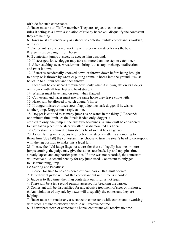off side for such contestants.

5. Hazer must be an TMRA member. They are subject to contestant rules if acting as a hazer, a violation of rule by hazer will disqualify the contestant they are helping.

6. Hazer must not render any assistance to contestant while contestant is working with steer.

7. Contestant is considered working with steer when steer leaves the box.

8. Steer must be caught from horse.

9. If contestant jumps at steer, he accepts him assound.

10. If steer gets loose, dogger may take no more than one step to catch steer.

11. After catching steer, wrestler must bring it to a stop or change itsdirection and twist it down.

12. If steer is accidentally knocked down or thrown down before being brought to a stop or is thrown by wrestler putting animal's horns into the ground, itmust be let up to all four feet and then thrown.

13. Steer will be considered thrown down only when it is lying flat on its side, or on its back with all four feet and head straight.

14. Wrestler must have hand on steer when flagged.

15. Contestant and hazer must use the same horse they leave chute with.

16. Hazer will be allowed to catch dogger's horse.

17. If dogger misses or loses steer, flag judge must ask dogger if hewishes another jump. Dogger must reply at once.

18. Dogger is entitled to as many jumps as he wants in the thirty (30) second/ one-minute time limit. At the Finals Rodeo only, doggeris

entitled to only one jump in the first two go-rounds. A jump will be considered to have taken place if the steer wrestler has dismounted his horse.

19. Contestant is required to turn steer's head so that he can get up.

20. Asteer falling in the opposite direction the steer wrestler is attempting to throw him (dog fall) the contestant may choose to turn the steer's head to correspond with the leg position to make this a legal fall.

21. In case the field judge flags out a wrestler that still legally has one or more jumps coming, the judge may give the same steer back, lap and tap, plus time already lapsed and any barrier penalties. If time was not recorded, the contestant will receive a 10-second penalty for any jump used. Contestant to only get to use remaining jump.

IV.Scoring and Penalties:

1. In order for time to be considered official, barrier flag must operate.

2. Timed event judge will not flag contestant out until time is recorded.

3. Judge is to flag time, then flag contestant out if run is not legal.

4. There will be a ten second penalty assessed for breaking the barrier.

5. Contestant will be disqualified for any abusive treatment of steer or his horse.

6. Any violation of any rule by hazer will disqualify the contestant they are helping.

7. Hazer must not render any assistance to contestant while contestant is working with steer. Failure to observe this rule will receive notime.

8. If hazer bats steer, or contestant's horse, contestant will receive no time.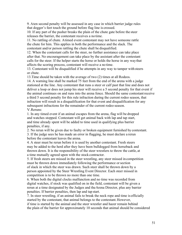9. Aten second penalty will be assessed in any case in which barrier judge rules that dogger's feet touch the ground before flag line is crossed.

10. If any part of the pusher breaks the plain of the chute gate before the steer releases the barrier, the contestant receives a no time.

11. No rattling of chute. Atimed event contestant may not have someone rattle the chute for him. This applies in both the performance and the slack. The contestant and/or person rattling the chute shall be disqualified.

12. When the contestant calls for the steer, no further assistance can take place after that. No encouragement can take place by the assistant after the contestant calls for the steer. If the helper starts the horse or holds the horse in any waythat affects the scoring process, contestant will receive a no time.

13. Contestant will be disqualified if he attempts in any way to tamper with steers or chute.

13.Time should be taken with the average of two (2) times at all Rodeos.

14. A warning line shall be marked 75 feet from the end of the arena with a judge stationed at the line. Any contestant that runs a steer or calf past that line and does not deliver a loop or does not jump his steer will receive a 5 second penalty for that event if the animal continues on and runs into the arena fence. Should the same contestant receive a third 5 second penalty for this rule infraction during the current rodeo season, that infraction will result in a disqualification for that event and disqualification for any subsequent infractions for the remainder of the current rodeo season.

V.Reruns:

1. In any timed event if an animal escapes from the arena, flag will be dropped and watches stopped. Contestant will get animal back with lap and tap start, and time already spent will be added to time used in qualifying plus barrier penalties, if any.

2. No rerun will be given due to faulty or broken equipment furnished by contestant.

3. If the judge sees he has made an error in flagging, he must declare a rerun before the contestant leaves the arena.

4. A steer must be rerun before it is used by another contestant. Fresh steers may be added to the herd after they have been bulldogged from horseback and thrown down. It is the responsibility of the steer wrestlers to throw the cattle, at a time mutually agreed upon with the stock contractor.

5. If fresh steers are missed in the steer wrestling, any steer missed in competition must be thrown down immediately following the performance orsection of slack in which the steer was drawn. Such steer shall be thrown down by a person appointed by the Steer Wrestling Event Director. Each steer missed in competition is to be thrown no more than one time.

6. When both the digital clocks malfunction and no time was recorded from digital watches, if stock was qualified on in the field, contestant will be given a rerun at a time designated by the Judges and theArena Director, plus any barrier penalties. If barrier penalties, then lap and tap start.

7. In steer wrestling, if an animal fails to break the neck rope and time is officially started by the contestant, that animal belongs to the contestant.However, if time is started by the animal and the steer wrestler and hazer remain behind the plain of the barrier for approximately 10 seconds that animal should be considered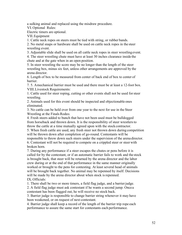a sulking animal and replaced using the misdraw procedure.

VI.Optional Rules:

Electric timers are optional.

VII.Equipment

1. Cattle neck ropes on steers must be tied with string, or rubber bands.

2. No metal snaps or hardware shall be used on cattle neck ropes in the steer wrestling event.

3. Adjustable slide shall be used on all cattle neck ropes in steer wrestling event.

4. The steer wrestling chute must have at least 30 inches clearance inside the chute and at the gate when in an open position.

5. In steer wrestling the score may be no longer than the length of the steer wrestling box, minus six feet, unless other arrangements are approved by the arena director.

6. Length of box to be measured from center of back end of box to center of barrier.

7. 5. Amechanical barrier must be used and there must be at least a 12-foot box. VIII.Livestock Requirements:

1. Cattle used for steer roping, cutting or other events shall not be used forsteer wrestling.

2. Animals used for this event should be inspected and objectionable ones eliminated.

3. No cattle can be held over from one year to the next for use in the Steer Wrestling at the Finals Rodeo.

4. Fresh steers added to bunch that have not been used must be bulldogged from horseback and thrown down. It is the responsibility of steer wrestlersto throw the cattle at a time mutually agreed upon with the stock contractor.

5. When fresh cattle are used, any fresh steer not thrown down during competition will be thrown down after completion of go-round. Contestants will be responsible to throw down such steers under the supervision of the arena director. 6. Contestant will not be required to compete on a crippled steer or steer with broken horn.

7. During any performance if a steer escapes the chutes or pens before it is called for by the contestant, or if an automatic barrier fails to work and the stock is brought back, that steer will be returned by the arena director and the labor crew during or at the end of that performance in the same manner originally worked or brought to the pens for contesting. At least several head of animals will be brought back together. No animal may be repenned by itself. Decisions will be made by the arena director about when stock is repenned. IX.Officials:

1. There shall be two or more timers, a field flag judge, and a barrierjudge.

2. A field flag judge must ask contestant if he wants a second jump. Oncea contestant has been flagged out, he will receive no stock back.

3. Barrier judge is responsible to change barrier string whenever it may have been weakened, or on request of next contestant.

4. Barrier judge shall keep a record of the length of the barrier trip rope each performance to assure the same start for contestants each performance.